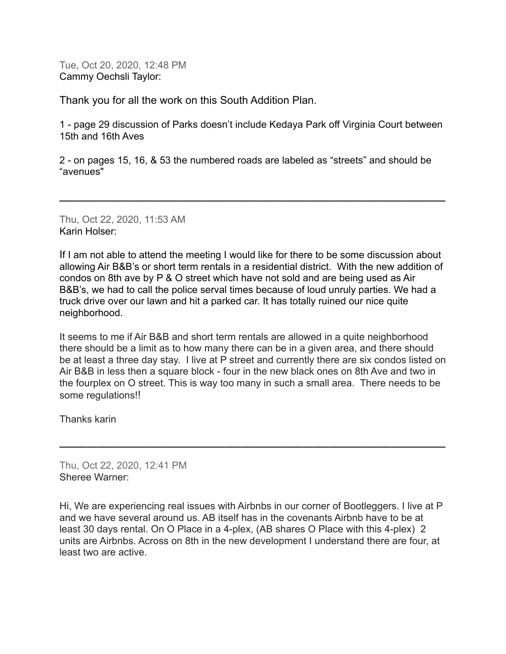Tue, Oct 20, 2020, 12:48 PM Cammy Oechsli Taylor:

Thank you for all the work on this South Addition Plan.

1 - page 29 discussion of Parks doesn't include Kedaya Park off Virginia Court between 15th and 16th Aves

2 - on pages 15, 16, & 53 the numbered roads are labeled as "streets" and should be "avenues"

**\_\_\_\_\_\_\_\_\_\_\_\_\_\_\_\_\_\_\_\_\_\_\_\_\_\_\_\_\_\_\_\_\_\_\_\_\_\_\_\_\_\_\_\_\_\_\_\_\_\_\_\_\_\_\_\_\_\_\_\_**

Thu, Oct 22, 2020, 11:53 AM Karin Holser:

If I am not able to attend the meeting I would like for there to be some discussion about allowing Air B&B's or short term rentals in a residential district. With the new addition of condos on 8th ave by P & O street which have not sold and are being used as Air B&B's, we had to call the police serval times because of loud unruly parties. We had a truck drive over our lawn and hit a parked car. It has totally ruined our nice quite neighborhood.

It seems to me if Air B&B and short term rentals are allowed in a quite neighborhood there should be a limit as to how many there can be in a given area, and there should be at least a three day stay. I live at P street and currently there are six condos listed on Air B&B in less then a square block - four in the new black ones on 8th Ave and two in the fourplex on O street. This is way too many in such a small area. There needs to be some regulations!!

**\_\_\_\_\_\_\_\_\_\_\_\_\_\_\_\_\_\_\_\_\_\_\_\_\_\_\_\_\_\_\_\_\_\_\_\_\_\_\_\_\_\_\_\_\_\_\_\_\_\_\_\_\_\_\_\_\_\_\_\_\_\_\_\_\_\_\_\_\_\_**

Thanks karin

Thu, Oct 22, 2020, 12:41 PM Sheree Warner:

Hi, We are experiencing real issues with Airbnbs in our corner of Bootleggers. I live at P and we have several around us. AB itself has in the covenants Airbnb have to be at least 30 days rental. On O Place in a 4-plex, (AB shares O Place with this 4-plex) 2 units are Airbnbs. Across on 8th in the new development I understand there are four, at least two are active.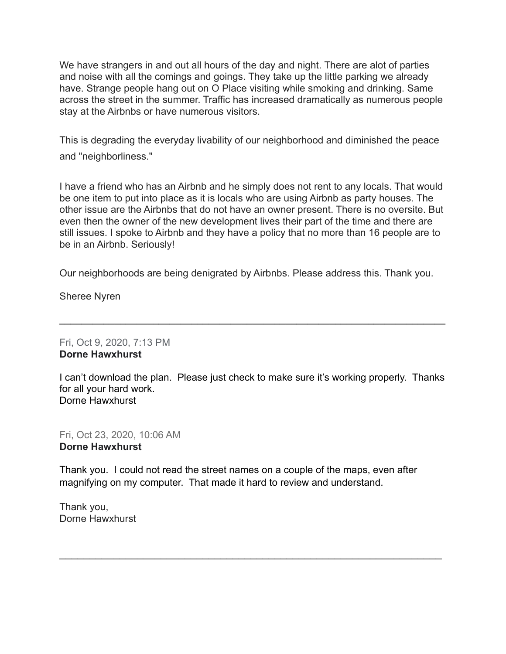We have strangers in and out all hours of the day and night. There are alot of parties and noise with all the comings and goings. They take up the little parking we already have. Strange people hang out on O Place visiting while smoking and drinking. Same across the street in the summer. Traffic has increased dramatically as numerous people stay at the Airbnbs or have numerous visitors.

This is degrading the everyday livability of our neighborhood and diminished the peace and "neighborliness."

I have a friend who has an Airbnb and he simply does not rent to any locals. That would be one item to put into place as it is locals who are using Airbnb as party houses. The other issue are the Airbnbs that do not have an owner present. There is no oversite. But even then the owner of the new development lives their part of the time and there are still issues. I spoke to Airbnb and they have a policy that no more than 16 people are to be in an Airbnb. Seriously!

Our neighborhoods are being denigrated by Airbnbs. Please address this. Thank you.

Sheree Nyren

Fri, Oct 9, 2020, 7:13 PM **Dorne Hawxhurst**

I can't download the plan. Please just check to make sure it's working properly. Thanks for all your hard work. Dorne Hawxhurst

**\_\_\_\_\_\_\_\_\_\_\_\_\_\_\_\_\_\_\_\_\_\_\_\_\_\_\_\_\_\_\_\_\_\_\_\_\_\_\_\_\_\_\_\_\_\_\_\_\_\_\_\_\_\_\_\_\_\_\_\_\_\_\_\_\_\_\_\_\_\_**

Fri, Oct 23, 2020, 10:06 AM **Dorne Hawxhurst**

Thank you. I could not read the street names on a couple of the maps, even after magnifying on my computer. That made it hard to review and understand.

\_\_\_\_\_\_\_\_\_\_\_\_\_\_\_\_\_\_\_\_\_\_\_\_\_\_\_\_\_\_\_\_\_\_\_\_\_\_\_\_\_\_\_\_\_\_\_\_\_\_\_\_\_\_\_\_\_\_\_\_\_\_\_\_

Thank you, Dorne Hawxhurst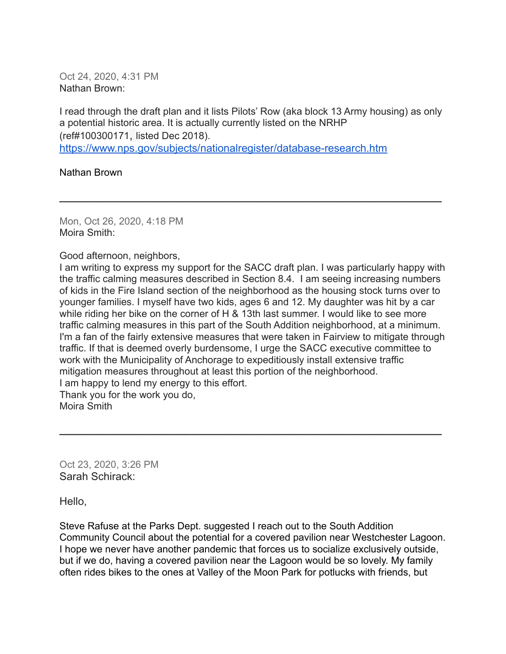Oct 24, 2020, 4:31 PM Nathan Brown:

I read through the draft plan and it lists Pilots' Row (aka block 13 Army housing) as only a potential historic area. It is actually currently listed on the NRHP (ref#100300171, listed Dec 2018). <https://www.nps.gov/subjects/nationalregister/database-research.htm>

**\_\_\_\_\_\_\_\_\_\_\_\_\_\_\_\_\_\_\_\_\_\_\_\_\_\_\_\_\_\_\_\_\_\_\_\_\_\_\_\_\_\_\_\_\_\_\_\_\_\_\_\_\_\_\_\_\_\_\_\_\_\_\_\_**

Nathan Brown

Mon, Oct 26, 2020, 4:18 PM Moira Smith:

Good afternoon, neighbors,

I am writing to express my support for the SACC draft plan. I was particularly happy with the traffic calming measures described in Section 8.4. I am seeing increasing numbers of kids in the Fire Island section of the neighborhood as the housing stock turns over to younger families. I myself have two kids, ages 6 and 12. My daughter was hit by a car while riding her bike on the corner of H & 13th last summer. I would like to see more traffic calming measures in this part of the South Addition neighborhood, at a minimum. I'm a fan of the fairly extensive measures that were taken in Fairview to mitigate through traffic. If that is deemed overly burdensome, I urge the SACC executive committee to work with the Municipality of Anchorage to expeditiously install extensive traffic mitigation measures throughout at least this portion of the neighborhood. I am happy to lend my energy to this effort. Thank you for the work you do, Moira Smith

**\_\_\_\_\_\_\_\_\_\_\_\_\_\_\_\_\_\_\_\_\_\_\_\_\_\_\_\_\_\_\_\_\_\_\_\_\_\_\_\_\_\_\_\_\_\_\_\_\_\_\_\_\_\_\_\_\_\_\_\_\_\_\_\_**

Oct 23, 2020, 3:26 PM Sarah Schirack:

Hello,

Steve Rafuse at the Parks Dept. suggested I reach out to the South Addition Community Council about the potential for a covered pavilion near Westchester Lagoon. I hope we never have another pandemic that forces us to socialize exclusively outside, but if we do, having a covered pavilion near the Lagoon would be so lovely. My family often rides bikes to the ones at Valley of the Moon Park for potlucks with friends, but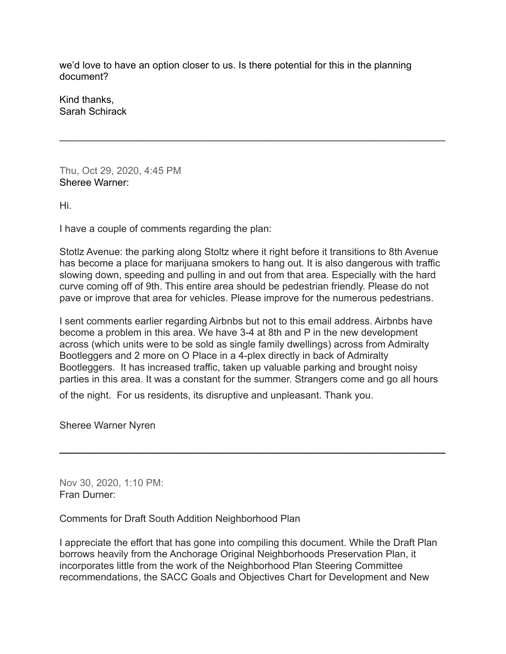we'd love to have an option closer to us. Is there potential for this in the planning document?

**\_\_\_\_\_\_\_\_\_\_\_\_\_\_\_\_\_\_\_\_\_\_\_\_\_\_\_\_\_\_\_\_\_\_\_\_\_\_\_\_\_\_\_\_\_\_\_\_\_\_\_\_\_\_\_\_\_\_\_\_**

Kind thanks, Sarah Schirack

Thu, Oct 29, 2020, 4:45 PM Sheree Warner:

Hi.

I have a couple of comments regarding the plan:

Stotlz Avenue: the parking along Stoltz where it right before it transitions to 8th Avenue has become a place for marijuana smokers to hang out. It is also dangerous with traffic slowing down, speeding and pulling in and out from that area. Especially with the hard curve coming off of 9th. This entire area should be pedestrian friendly. Please do not pave or improve that area for vehicles. Please improve for the numerous pedestrians.

I sent comments earlier regarding Airbnbs but not to this email address. Airbnbs have become a problem in this area. We have 3-4 at 8th and P in the new development across (which units were to be sold as single family dwellings) across from Admiralty Bootleggers and 2 more on O Place in a 4-plex directly in back of Admiralty Bootleggers. It has increased traffic, taken up valuable parking and brought noisy parties in this area. It was a constant for the summer. Strangers come and go all hours

**\_\_\_\_\_\_\_\_\_\_\_\_\_\_\_\_\_\_\_\_\_\_\_\_\_\_\_\_\_\_\_\_\_\_\_\_\_\_\_\_\_\_\_\_\_\_\_\_\_\_\_\_\_\_\_\_\_\_\_\_\_\_\_\_\_\_\_\_\_\_**

of the night. For us residents, its disruptive and unpleasant. Thank you.

Sheree Warner Nyren

Nov 30, 2020, 1:10 PM: Fran Durner:

Comments for Draft South Addition Neighborhood Plan

I appreciate the effort that has gone into compiling this document. While the Draft Plan borrows heavily from the Anchorage Original Neighborhoods Preservation Plan, it incorporates little from the work of the Neighborhood Plan Steering Committee recommendations, the SACC Goals and Objectives Chart for Development and New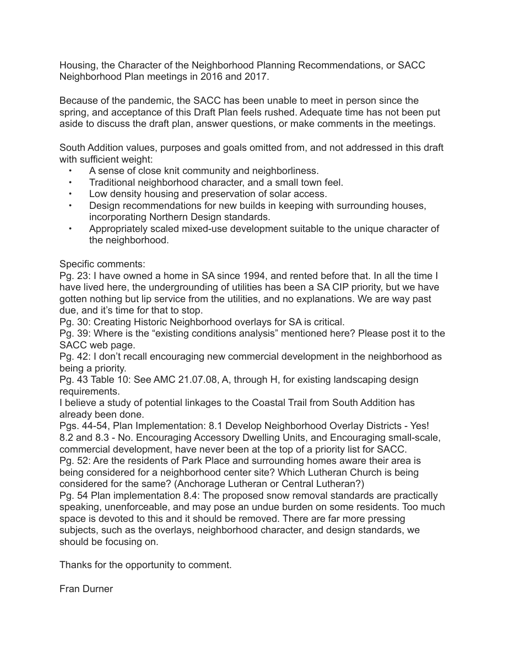Housing, the Character of the Neighborhood Planning Recommendations, or SACC Neighborhood Plan meetings in 2016 and 2017.

Because of the pandemic, the SACC has been unable to meet in person since the spring, and acceptance of this Draft Plan feels rushed. Adequate time has not been put aside to discuss the draft plan, answer questions, or make comments in the meetings.

South Addition values, purposes and goals omitted from, and not addressed in this draft with sufficient weight:

- A sense of close knit community and neighborliness.
- Traditional neighborhood character, and a small town feel.
- Low density housing and preservation of solar access.
- Design recommendations for new builds in keeping with surrounding houses, incorporating Northern Design standards.
- Appropriately scaled mixed-use development suitable to the unique character of the neighborhood.

Specific comments:

Pg. 23: I have owned a home in SA since 1994, and rented before that. In all the time I have lived here, the undergrounding of utilities has been a SA CIP priority, but we have gotten nothing but lip service from the utilities, and no explanations. We are way past due, and it's time for that to stop.

Pg. 30: Creating Historic Neighborhood overlays for SA is critical.

Pg. 39: Where is the "existing conditions analysis" mentioned here? Please post it to the SACC web page.

Pg. 42: I don't recall encouraging new commercial development in the neighborhood as being a priority.

Pg. 43 Table 10: See AMC 21.07.08, A, through H, for existing landscaping design requirements.

I believe a study of potential linkages to the Coastal Trail from South Addition has already been done.

Pgs. 44-54, Plan Implementation: 8.1 Develop Neighborhood Overlay Districts - Yes! 8.2 and 8.3 - No. Encouraging Accessory Dwelling Units, and Encouraging small-scale, commercial development, have never been at the top of a priority list for SACC.

Pg. 52: Are the residents of Park Place and surrounding homes aware their area is being considered for a neighborhood center site? Which Lutheran Church is being considered for the same? (Anchorage Lutheran or Central Lutheran?)

Pg. 54 Plan implementation 8.4: The proposed snow removal standards are practically speaking, unenforceable, and may pose an undue burden on some residents. Too much space is devoted to this and it should be removed. There are far more pressing subjects, such as the overlays, neighborhood character, and design standards, we should be focusing on.

Thanks for the opportunity to comment.

Fran Durner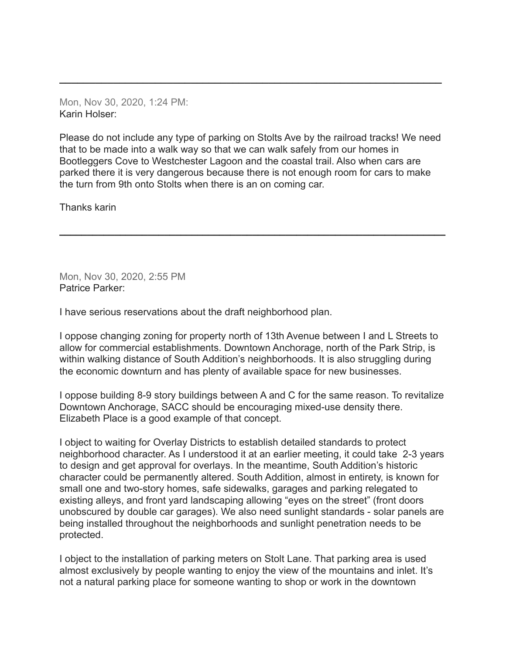Mon, Nov 30, 2020, 1:24 PM: Karin Holser:

Please do not include any type of parking on Stolts Ave by the railroad tracks! We need that to be made into a walk way so that we can walk safely from our homes in Bootleggers Cove to Westchester Lagoon and the coastal trail. Also when cars are parked there it is very dangerous because there is not enough room for cars to make the turn from 9th onto Stolts when there is an on coming car.

**\_\_\_\_\_\_\_\_\_\_\_\_\_\_\_\_\_\_\_\_\_\_\_\_\_\_\_\_\_\_\_\_\_\_\_\_\_\_\_\_\_\_\_\_\_\_\_\_\_\_\_\_\_\_\_\_\_\_\_\_\_\_\_\_\_\_\_\_\_\_**

**\_\_\_\_\_\_\_\_\_\_\_\_\_\_\_\_\_\_\_\_\_\_\_\_\_\_\_\_\_\_\_\_\_\_\_\_\_\_\_\_\_\_\_\_\_\_\_\_\_\_\_\_\_\_\_\_\_\_\_\_\_\_\_\_**

Thanks karin

Mon, Nov 30, 2020, 2:55 PM Patrice Parker:

I have serious reservations about the draft neighborhood plan.

I oppose changing zoning for property north of 13th Avenue between I and L Streets to allow for commercial establishments. Downtown Anchorage, north of the Park Strip, is within walking distance of South Addition's neighborhoods. It is also struggling during the economic downturn and has plenty of available space for new businesses.

I oppose building 8-9 story buildings between A and C for the same reason. To revitalize Downtown Anchorage, SACC should be encouraging mixed-use density there. Elizabeth Place is a good example of that concept.

I object to waiting for Overlay Districts to establish detailed standards to protect neighborhood character. As I understood it at an earlier meeting, it could take 2-3 years to design and get approval for overlays. In the meantime, South Addition's historic character could be permanently altered. South Addition, almost in entirety, is known for small one and two-story homes, safe sidewalks, garages and parking relegated to existing alleys, and front yard landscaping allowing "eyes on the street" (front doors unobscured by double car garages). We also need sunlight standards - solar panels are being installed throughout the neighborhoods and sunlight penetration needs to be protected.

I object to the installation of parking meters on Stolt Lane. That parking area is used almost exclusively by people wanting to enjoy the view of the mountains and inlet. It's not a natural parking place for someone wanting to shop or work in the downtown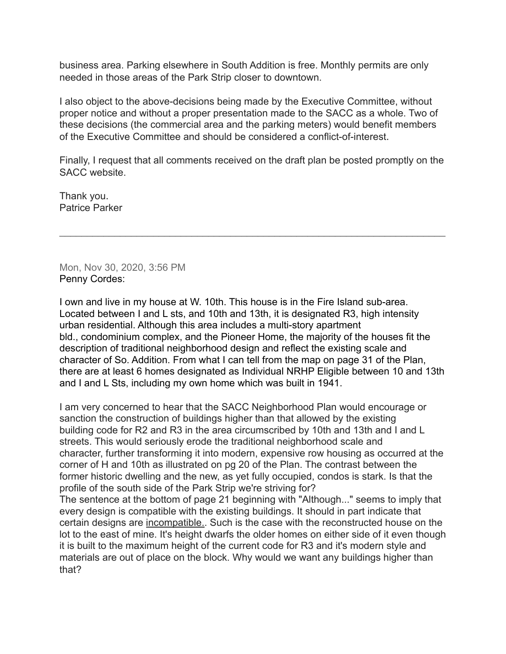business area. Parking elsewhere in South Addition is free. Monthly permits are only needed in those areas of the Park Strip closer to downtown.

I also object to the above-decisions being made by the Executive Committee, without proper notice and without a proper presentation made to the SACC as a whole. Two of these decisions (the commercial area and the parking meters) would benefit members of the Executive Committee and should be considered a conflict-of-interest.

Finally, I request that all comments received on the draft plan be posted promptly on the SACC website.

 $\mathcal{L}_\text{max} = \mathcal{L}_\text{max} = \mathcal{L}_\text{max} = \mathcal{L}_\text{max} = \mathcal{L}_\text{max} = \mathcal{L}_\text{max} = \mathcal{L}_\text{max} = \mathcal{L}_\text{max} = \mathcal{L}_\text{max} = \mathcal{L}_\text{max} = \mathcal{L}_\text{max} = \mathcal{L}_\text{max} = \mathcal{L}_\text{max} = \mathcal{L}_\text{max} = \mathcal{L}_\text{max} = \mathcal{L}_\text{max} = \mathcal{L}_\text{max} = \mathcal{L}_\text{max} = \mathcal{$ 

Thank you. Patrice Parker

Mon, Nov 30, 2020, 3:56 PM Penny Cordes:

I own and live in my house at W. 10th. This house is in the Fire Island sub-area. Located between I and L sts, and 10th and 13th, it is designated R3, high intensity urban residential. Although this area includes a multi-story apartment bld., condominium complex, and the Pioneer Home, the majority of the houses fit the description of traditional neighborhood design and reflect the existing scale and character of So. Addition. From what I can tell from the map on page 31 of the Plan, there are at least 6 homes designated as Individual NRHP Eligible between 10 and 13th and I and L Sts, including my own home which was built in 1941.

I am very concerned to hear that the SACC Neighborhood Plan would encourage or sanction the construction of buildings higher than that allowed by the existing building code for R2 and R3 in the area circumscribed by 10th and 13th and I and L streets. This would seriously erode the traditional neighborhood scale and character, further transforming it into modern, expensive row housing as occurred at the corner of H and 10th as illustrated on pg 20 of the Plan. The contrast between the former historic dwelling and the new, as yet fully occupied, condos is stark. Is that the profile of the south side of the Park Strip we're striving for?

The sentence at the bottom of page 21 beginning with "Although..." seems to imply that every design is compatible with the existing buildings. It should in part indicate that certain designs are incompatible.. Such is the case with the reconstructed house on the lot to the east of mine. It's height dwarfs the older homes on either side of it even though it is built to the maximum height of the current code for R3 and it's modern style and materials are out of place on the block. Why would we want any buildings higher than that?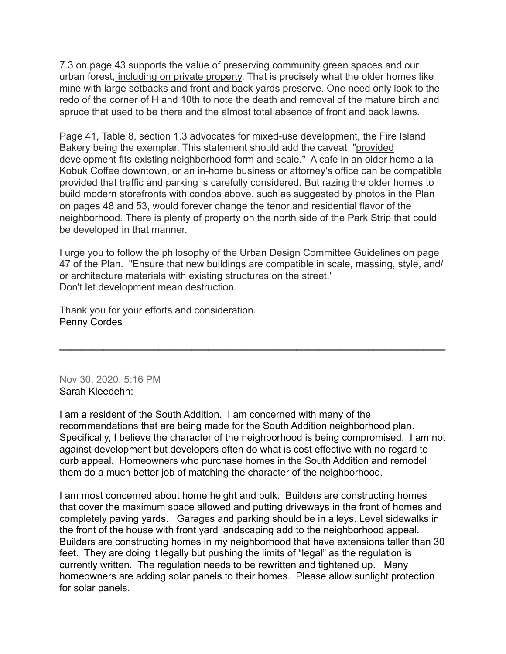7.3 on page 43 supports the value of preserving community green spaces and our urban forest, including on private property. That is precisely what the older homes like mine with large setbacks and front and back yards preserve. One need only look to the redo of the corner of H and 10th to note the death and removal of the mature birch and spruce that used to be there and the almost total absence of front and back lawns.

Page 41, Table 8, section 1.3 advocates for mixed-use development, the Fire Island Bakery being the exemplar. This statement should add the caveat "provided development fits existing neighborhood form and scale." A cafe in an older home a la Kobuk Coffee downtown, or an in-home business or attorney's office can be compatible provided that traffic and parking is carefully considered. But razing the older homes to build modern storefronts with condos above, such as suggested by photos in the Plan on pages 48 and 53, would forever change the tenor and residential flavor of the neighborhood. There is plenty of property on the north side of the Park Strip that could be developed in that manner.

I urge you to follow the philosophy of the Urban Design Committee Guidelines on page 47 of the Plan. "Ensure that new buildings are compatible in scale, massing, style, and/ or architecture materials with existing structures on the street.' Don't let development mean destruction.

**\_\_\_\_\_\_\_\_\_\_\_\_\_\_\_\_\_\_\_\_\_\_\_\_\_\_\_\_\_\_\_\_\_\_\_\_\_\_\_\_\_\_\_\_\_\_\_\_\_\_\_\_\_\_\_\_\_\_\_\_\_\_\_\_\_\_\_\_\_\_**

Thank you for your efforts and consideration. Penny Cordes

Nov 30, 2020, 5:16 PM Sarah Kleedehn:

I am a resident of the South Addition. I am concerned with many of the recommendations that are being made for the South Addition neighborhood plan. Specifically, I believe the character of the neighborhood is being compromised. I am not against development but developers often do what is cost effective with no regard to curb appeal. Homeowners who purchase homes in the South Addition and remodel them do a much better job of matching the character of the neighborhood.

I am most concerned about home height and bulk. Builders are constructing homes that cover the maximum space allowed and putting driveways in the front of homes and completely paving yards. Garages and parking should be in alleys. Level sidewalks in the front of the house with front yard landscaping add to the neighborhood appeal. Builders are constructing homes in my neighborhood that have extensions taller than 30 feet. They are doing it legally but pushing the limits of "legal" as the regulation is currently written. The regulation needs to be rewritten and tightened up. Many homeowners are adding solar panels to their homes. Please allow sunlight protection for solar panels.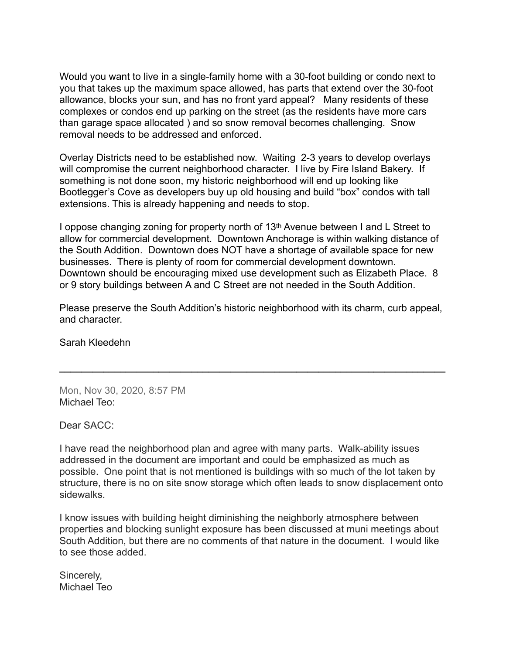Would you want to live in a single-family home with a 30-foot building or condo next to you that takes up the maximum space allowed, has parts that extend over the 30-foot allowance, blocks your sun, and has no front yard appeal? Many residents of these complexes or condos end up parking on the street (as the residents have more cars than garage space allocated ) and so snow removal becomes challenging. Snow removal needs to be addressed and enforced.

Overlay Districts need to be established now. Waiting 2-3 years to develop overlays will compromise the current neighborhood character. I live by Fire Island Bakery. If something is not done soon, my historic neighborhood will end up looking like Bootlegger's Cove as developers buy up old housing and build "box" condos with tall extensions. This is already happening and needs to stop.

I oppose changing zoning for property north of 13th Avenue between I and L Street to allow for commercial development. Downtown Anchorage is within walking distance of the South Addition. Downtown does NOT have a shortage of available space for new businesses. There is plenty of room for commercial development downtown. Downtown should be encouraging mixed use development such as Elizabeth Place. 8 or 9 story buildings between A and C Street are not needed in the South Addition.

Please preserve the South Addition's historic neighborhood with its charm, curb appeal, and character.

**\_\_\_\_\_\_\_\_\_\_\_\_\_\_\_\_\_\_\_\_\_\_\_\_\_\_\_\_\_\_\_\_\_\_\_\_\_\_\_\_\_\_\_\_\_\_\_\_\_\_\_\_\_\_\_\_\_\_\_\_\_\_\_\_\_\_\_\_\_\_**

Sarah Kleedehn

Mon, Nov 30, 2020, 8:57 PM Michael Teo:

Dear SACC:

I have read the neighborhood plan and agree with many parts. Walk-ability issues addressed in the document are important and could be emphasized as much as possible. One point that is not mentioned is buildings with so much of the lot taken by structure, there is no on site snow storage which often leads to snow displacement onto sidewalks.

I know issues with building height diminishing the neighborly atmosphere between properties and blocking sunlight exposure has been discussed at muni meetings about South Addition, but there are no comments of that nature in the document. I would like to see those added.

Sincerely, Michael Teo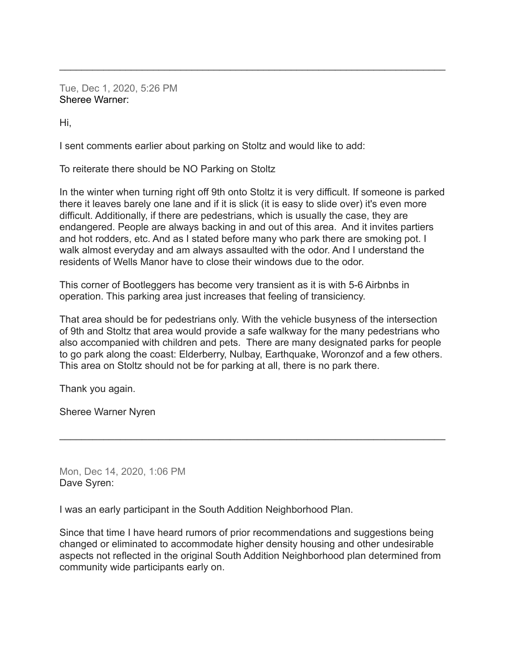Tue, Dec 1, 2020, 5:26 PM Sheree Warner:

Hi,

I sent comments earlier about parking on Stoltz and would like to add:

To reiterate there should be NO Parking on Stoltz

In the winter when turning right off 9th onto Stoltz it is very difficult. If someone is parked there it leaves barely one lane and if it is slick (it is easy to slide over) it's even more difficult. Additionally, if there are pedestrians, which is usually the case, they are endangered. People are always backing in and out of this area. And it invites partiers and hot rodders, etc. And as I stated before many who park there are smoking pot. I walk almost everyday and am always assaulted with the odor. And I understand the residents of Wells Manor have to close their windows due to the odor.

 $\mathcal{L}_\text{max} = \mathcal{L}_\text{max} = \mathcal{L}_\text{max} = \mathcal{L}_\text{max} = \mathcal{L}_\text{max} = \mathcal{L}_\text{max} = \mathcal{L}_\text{max} = \mathcal{L}_\text{max} = \mathcal{L}_\text{max} = \mathcal{L}_\text{max} = \mathcal{L}_\text{max} = \mathcal{L}_\text{max} = \mathcal{L}_\text{max} = \mathcal{L}_\text{max} = \mathcal{L}_\text{max} = \mathcal{L}_\text{max} = \mathcal{L}_\text{max} = \mathcal{L}_\text{max} = \mathcal{$ 

This corner of Bootleggers has become very transient as it is with 5-6 Airbnbs in operation. This parking area just increases that feeling of transiciency.

That area should be for pedestrians only. With the vehicle busyness of the intersection of 9th and Stoltz that area would provide a safe walkway for the many pedestrians who also accompanied with children and pets. There are many designated parks for people to go park along the coast: Elderberry, Nulbay, Earthquake, Woronzof and a few others. This area on Stoltz should not be for parking at all, there is no park there.

**\_\_\_\_\_\_\_\_\_\_\_\_\_\_\_\_\_\_\_\_\_\_\_\_\_\_\_\_\_\_\_\_\_\_\_\_\_\_\_\_\_\_\_\_\_\_\_\_\_\_\_\_\_\_\_\_\_\_\_\_\_\_\_\_\_\_\_\_\_\_**

Thank you again.

Sheree Warner Nyren

Mon, Dec 14, 2020, 1:06 PM Dave Syren:

I was an early participant in the South Addition Neighborhood Plan.

Since that time I have heard rumors of prior recommendations and suggestions being changed or eliminated to accommodate higher density housing and other undesirable aspects not reflected in the original South Addition Neighborhood plan determined from community wide participants early on.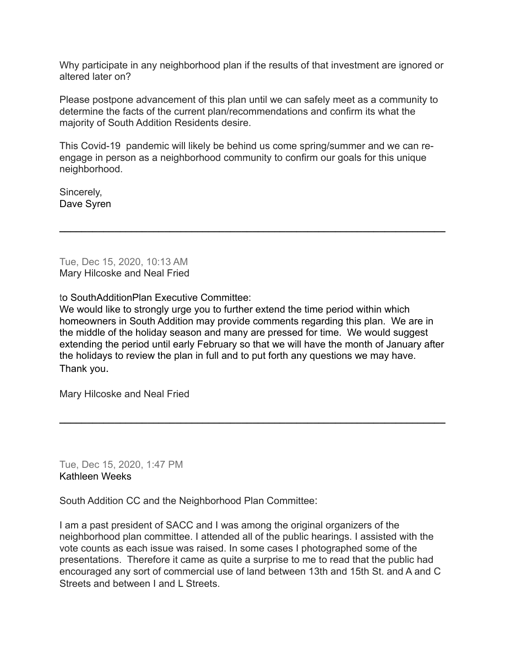Why participate in any neighborhood plan if the results of that investment are ignored or altered later on?

Please postpone advancement of this plan until we can safely meet as a community to determine the facts of the current plan/recommendations and confirm its what the majority of South Addition Residents desire.

This Covid-19 pandemic will likely be behind us come spring/summer and we can reengage in person as a neighborhood community to confirm our goals for this unique neighborhood.

**\_\_\_\_\_\_\_\_\_\_\_\_\_\_\_\_\_\_\_\_\_\_\_\_\_\_\_\_\_\_\_\_\_\_\_\_\_\_\_\_\_\_\_\_\_\_\_\_\_\_\_\_\_\_\_\_\_\_\_\_\_\_\_\_\_\_\_\_\_\_**

Sincerely, Dave Syren

Tue, Dec 15, 2020, 10:13 AM Mary Hilcoske and Neal Fried

to SouthAdditionPlan Executive Committee:

We would like to strongly urge you to further extend the time period within which homeowners in South Addition may provide comments regarding this plan. We are in the middle of the holiday season and many are pressed for time. We would suggest extending the period until early February so that we will have the month of January after the holidays to review the plan in full and to put forth any questions we may have. Thank you.

**\_\_\_\_\_\_\_\_\_\_\_\_\_\_\_\_\_\_\_\_\_\_\_\_\_\_\_\_\_\_\_\_\_\_\_\_\_\_\_\_\_\_\_\_\_\_\_\_\_\_\_\_\_\_\_\_\_\_\_\_\_\_\_\_\_\_\_\_\_\_**

Mary Hilcoske and Neal Fried

Tue, Dec 15, 2020, 1:47 PM Kathleen Weeks

South Addition CC and the Neighborhood Plan Committee:

I am a past president of SACC and I was among the original organizers of the neighborhood plan committee. I attended all of the public hearings. I assisted with the vote counts as each issue was raised. In some cases I photographed some of the presentations. Therefore it came as quite a surprise to me to read that the public had encouraged any sort of commercial use of land between 13th and 15th St. and A and C Streets and between I and L Streets.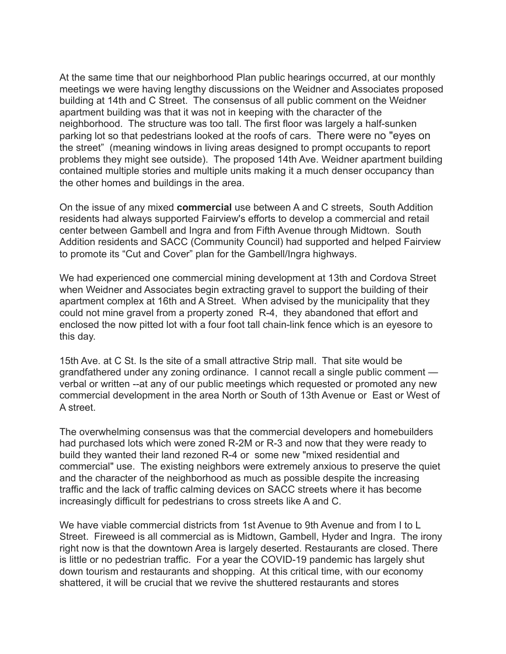At the same time that our neighborhood Plan public hearings occurred, at our monthly meetings we were having lengthy discussions on the Weidner and Associates proposed building at 14th and C Street. The consensus of all public comment on the Weidner apartment building was that it was not in keeping with the character of the neighborhood. The structure was too tall. The first floor was largely a half-sunken parking lot so that pedestrians looked at the roofs of cars. There were no "eyes on the street" (meaning windows in living areas designed to prompt occupants to report problems they might see outside). The proposed 14th Ave. Weidner apartment building contained multiple stories and multiple units making it a much denser occupancy than the other homes and buildings in the area.

On the issue of any mixed **commercial** use between A and C streets, South Addition residents had always supported Fairview's efforts to develop a commercial and retail center between Gambell and Ingra and from Fifth Avenue through Midtown. South Addition residents and SACC (Community Council) had supported and helped Fairview to promote its "Cut and Cover" plan for the Gambell/Ingra highways.

We had experienced one commercial mining development at 13th and Cordova Street when Weidner and Associates begin extracting gravel to support the building of their apartment complex at 16th and A Street. When advised by the municipality that they could not mine gravel from a property zoned R-4, they abandoned that effort and enclosed the now pitted lot with a four foot tall chain-link fence which is an eyesore to this day.

15th Ave. at C St. Is the site of a small attractive Strip mall. That site would be grandfathered under any zoning ordinance. I cannot recall a single public comment verbal or written --at any of our public meetings which requested or promoted any new commercial development in the area North or South of 13th Avenue or East or West of A street.

The overwhelming consensus was that the commercial developers and homebuilders had purchased lots which were zoned R-2M or R-3 and now that they were ready to build they wanted their land rezoned R-4 or some new "mixed residential and commercial" use. The existing neighbors were extremely anxious to preserve the quiet and the character of the neighborhood as much as possible despite the increasing traffic and the lack of traffic calming devices on SACC streets where it has become increasingly difficult for pedestrians to cross streets like A and C.

We have viable commercial districts from 1st Avenue to 9th Avenue and from I to L Street. Fireweed is all commercial as is Midtown, Gambell, Hyder and Ingra. The irony right now is that the downtown Area is largely deserted. Restaurants are closed. There is little or no pedestrian traffic. For a year the COVID-19 pandemic has largely shut down tourism and restaurants and shopping. At this critical time, with our economy shattered, it will be crucial that we revive the shuttered restaurants and stores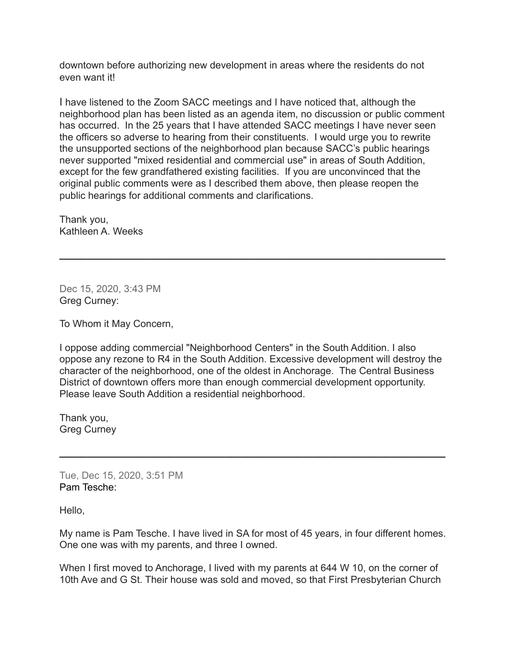downtown before authorizing new development in areas where the residents do not even want it!

I have listened to the Zoom SACC meetings and I have noticed that, although the neighborhood plan has been listed as an agenda item, no discussion or public comment has occurred. In the 25 years that I have attended SACC meetings I have never seen the officers so adverse to hearing from their constituents. I would urge you to rewrite the unsupported sections of the neighborhood plan because SACC's public hearings never supported "mixed residential and commercial use" in areas of South Addition, except for the few grandfathered existing facilities. If you are unconvinced that the original public comments were as I described them above, then please reopen the public hearings for additional comments and clarifications.

**\_\_\_\_\_\_\_\_\_\_\_\_\_\_\_\_\_\_\_\_\_\_\_\_\_\_\_\_\_\_\_\_\_\_\_\_\_\_\_\_\_\_\_\_\_\_\_\_\_\_\_\_\_\_\_\_\_\_\_\_\_\_\_\_\_\_\_\_\_\_**

Thank you, Kathleen A. Weeks

Dec 15, 2020, 3:43 PM Greg Curney:

To Whom it May Concern,

I oppose adding commercial "Neighborhood Centers" in the South Addition. I also oppose any rezone to R4 in the South Addition. Excessive development will destroy the character of the neighborhood, one of the oldest in Anchorage. The Central Business District of downtown offers more than enough commercial development opportunity. Please leave South Addition a residential neighborhood.

**\_\_\_\_\_\_\_\_\_\_\_\_\_\_\_\_\_\_\_\_\_\_\_\_\_\_\_\_\_\_\_\_\_\_\_\_\_\_\_\_\_\_\_\_\_\_\_\_\_\_\_\_\_\_\_\_\_\_\_\_\_\_\_\_\_\_\_\_\_\_**

Thank you, Greg Curney

Tue, Dec 15, 2020, 3:51 PM Pam Tesche:

Hello,

My name is Pam Tesche. I have lived in SA for most of 45 years, in four different homes. One one was with my parents, and three I owned.

When I first moved to Anchorage, I lived with my parents at 644 W 10, on the corner of 10th Ave and G St. Their house was sold and moved, so that First Presbyterian Church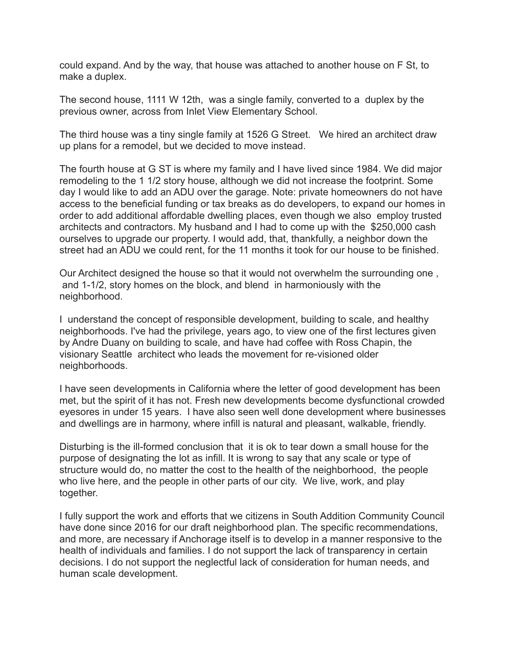could expand. And by the way, that house was attached to another house on F St, to make a duplex.

The second house, 1111 W 12th, was a single family, converted to a duplex by the previous owner, across from Inlet View Elementary School.

The third house was a tiny single family at 1526 G Street. We hired an architect draw up plans for a remodel, but we decided to move instead.

The fourth house at G ST is where my family and I have lived since 1984. We did major remodeling to the 1 1/2 story house, although we did not increase the footprint. Some day I would like to add an ADU over the garage. Note: private homeowners do not have access to the beneficial funding or tax breaks as do developers, to expand our homes in order to add additional affordable dwelling places, even though we also employ trusted architects and contractors. My husband and I had to come up with the \$250,000 cash ourselves to upgrade our property. I would add, that, thankfully, a neighbor down the street had an ADU we could rent, for the 11 months it took for our house to be finished.

Our Architect designed the house so that it would not overwhelm the surrounding one , and 1-1/2, story homes on the block, and blend in harmoniously with the neighborhood.

I understand the concept of responsible development, building to scale, and healthy neighborhoods. I've had the privilege, years ago, to view one of the first lectures given by Andre Duany on building to scale, and have had coffee with Ross Chapin, the visionary Seattle architect who leads the movement for re-visioned older neighborhoods.

I have seen developments in California where the letter of good development has been met, but the spirit of it has not. Fresh new developments become dysfunctional crowded eyesores in under 15 years. I have also seen well done development where businesses and dwellings are in harmony, where infill is natural and pleasant, walkable, friendly.

Disturbing is the ill-formed conclusion that it is ok to tear down a small house for the purpose of designating the lot as infill. It is wrong to say that any scale or type of structure would do, no matter the cost to the health of the neighborhood, the people who live here, and the people in other parts of our city. We live, work, and play together.

I fully support the work and efforts that we citizens in South Addition Community Council have done since 2016 for our draft neighborhood plan. The specific recommendations, and more, are necessary if Anchorage itself is to develop in a manner responsive to the health of individuals and families. I do not support the lack of transparency in certain decisions. I do not support the neglectful lack of consideration for human needs, and human scale development.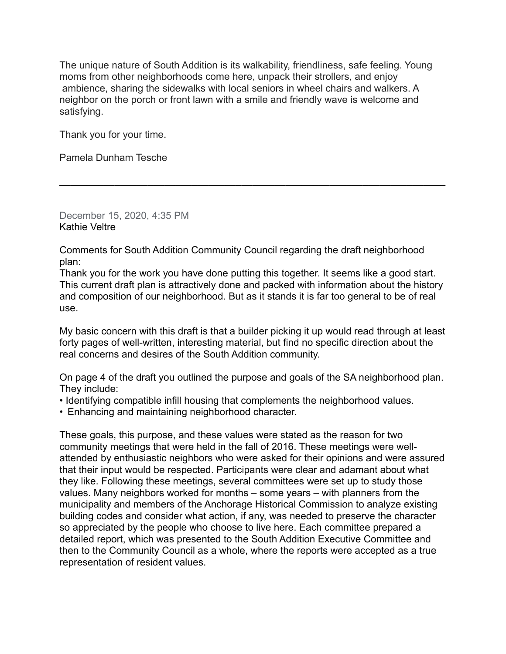The unique nature of South Addition is its walkability, friendliness, safe feeling. Young moms from other neighborhoods come here, unpack their strollers, and enjoy ambience, sharing the sidewalks with local seniors in wheel chairs and walkers. A neighbor on the porch or front lawn with a smile and friendly wave is welcome and satisfying.

Thank you for your time.

Pamela Dunham Tesche

December 15, 2020, 4:35 PM Kathie Veltre

Comments for South Addition Community Council regarding the draft neighborhood plan:

Thank you for the work you have done putting this together. It seems like a good start. This current draft plan is attractively done and packed with information about the history and composition of our neighborhood. But as it stands it is far too general to be of real use.

**\_\_\_\_\_\_\_\_\_\_\_\_\_\_\_\_\_\_\_\_\_\_\_\_\_\_\_\_\_\_\_\_\_\_\_\_\_\_\_\_\_\_\_\_\_\_\_\_\_\_\_\_\_\_\_\_\_\_\_\_\_\_\_\_\_\_\_\_\_\_**

My basic concern with this draft is that a builder picking it up would read through at least forty pages of well-written, interesting material, but find no specific direction about the real concerns and desires of the South Addition community.

On page 4 of the draft you outlined the purpose and goals of the SA neighborhood plan. They include:

- Identifying compatible infill housing that complements the neighborhood values.
- Enhancing and maintaining neighborhood character.

These goals, this purpose, and these values were stated as the reason for two community meetings that were held in the fall of 2016. These meetings were wellattended by enthusiastic neighbors who were asked for their opinions and were assured that their input would be respected. Participants were clear and adamant about what they like. Following these meetings, several committees were set up to study those values. Many neighbors worked for months – some years – with planners from the municipality and members of the Anchorage Historical Commission to analyze existing building codes and consider what action, if any, was needed to preserve the character so appreciated by the people who choose to live here. Each committee prepared a detailed report, which was presented to the South Addition Executive Committee and then to the Community Council as a whole, where the reports were accepted as a true representation of resident values.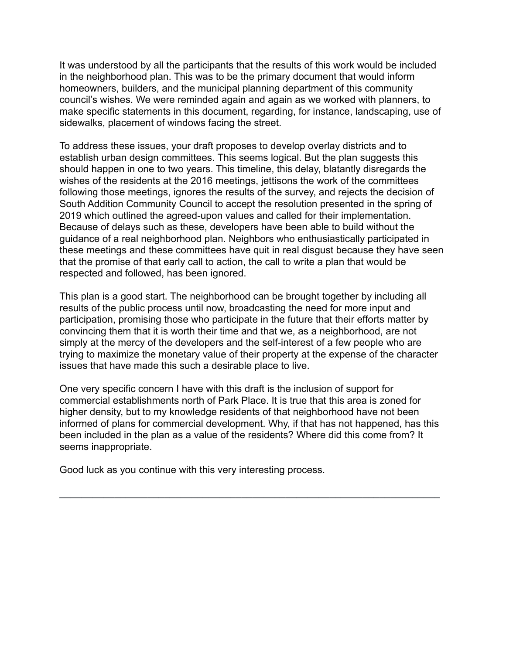It was understood by all the participants that the results of this work would be included in the neighborhood plan. This was to be the primary document that would inform homeowners, builders, and the municipal planning department of this community council's wishes. We were reminded again and again as we worked with planners, to make specific statements in this document, regarding, for instance, landscaping, use of sidewalks, placement of windows facing the street.

To address these issues, your draft proposes to develop overlay districts and to establish urban design committees. This seems logical. But the plan suggests this should happen in one to two years. This timeline, this delay, blatantly disregards the wishes of the residents at the 2016 meetings, jettisons the work of the committees following those meetings, ignores the results of the survey, and rejects the decision of South Addition Community Council to accept the resolution presented in the spring of 2019 which outlined the agreed-upon values and called for their implementation. Because of delays such as these, developers have been able to build without the guidance of a real neighborhood plan. Neighbors who enthusiastically participated in these meetings and these committees have quit in real disgust because they have seen that the promise of that early call to action, the call to write a plan that would be respected and followed, has been ignored.

This plan is a good start. The neighborhood can be brought together by including all results of the public process until now, broadcasting the need for more input and participation, promising those who participate in the future that their efforts matter by convincing them that it is worth their time and that we, as a neighborhood, are not simply at the mercy of the developers and the self-interest of a few people who are trying to maximize the monetary value of their property at the expense of the character issues that have made this such a desirable place to live.

One very specific concern I have with this draft is the inclusion of support for commercial establishments north of Park Place. It is true that this area is zoned for higher density, but to my knowledge residents of that neighborhood have not been informed of plans for commercial development. Why, if that has not happened, has this been included in the plan as a value of the residents? Where did this come from? It seems inappropriate.

**\_\_\_\_\_\_\_\_\_\_\_\_\_\_\_\_\_\_\_\_\_\_\_\_\_\_\_\_\_\_\_\_\_\_\_\_\_\_\_\_\_\_\_\_\_\_\_\_\_\_\_\_\_\_\_\_\_\_\_\_\_\_\_\_\_\_\_\_\_**

Good luck as you continue with this very interesting process.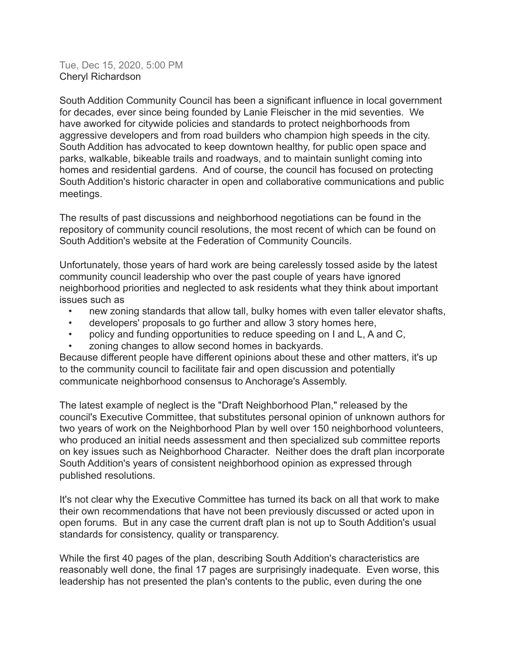Tue, Dec 15, 2020, 5:00 PM Cheryl Richardson

South Addition Community Council has been a significant influence in local government for decades, ever since being founded by Lanie Fleischer in the mid seventies. We have aworked for citywide policies and standards to protect neighborhoods from aggressive developers and from road builders who champion high speeds in the city. South Addition has advocated to keep downtown healthy, for public open space and parks, walkable, bikeable trails and roadways, and to maintain sunlight coming into homes and residential gardens. And of course, the council has focused on protecting South Addition's historic character in open and collaborative communications and public meetings.

The results of past discussions and neighborhood negotiations can be found in the repository of community council resolutions, the most recent of which can be found on South Addition's website at the Federation of Community Councils.

Unfortunately, those years of hard work are being carelessly tossed aside by the latest community council leadership who over the past couple of years have ignored neighborhood priorities and neglected to ask residents what they think about important issues such as

- new zoning standards that allow tall, bulky homes with even taller elevator shafts,
- developers' proposals to go further and allow 3 story homes here,
- policy and funding opportunities to reduce speeding on I and L, A and C,
- zoning changes to allow second homes in backyards.

Because different people have different opinions about these and other matters, it's up to the community council to facilitate fair and open discussion and potentially communicate neighborhood consensus to Anchorage's Assembly.

The latest example of neglect is the "Draft Neighborhood Plan," released by the council's Executive Committee, that substitutes personal opinion of unknown authors for two years of work on the Neighborhood Plan by well over 150 neighborhood volunteers, who produced an initial needs assessment and then specialized sub committee reports on key issues such as Neighborhood Character. Neither does the draft plan incorporate South Addition's years of consistent neighborhood opinion as expressed through published resolutions.

It's not clear why the Executive Committee has turned its back on all that work to make their own recommendations that have not been previously discussed or acted upon in open forums. But in any case the current draft plan is not up to South Addition's usual standards for consistency, quality or transparency.

While the first 40 pages of the plan, describing South Addition's characteristics are reasonably well done, the final 17 pages are surprisingly inadequate. Even worse, this leadership has not presented the plan's contents to the public, even during the one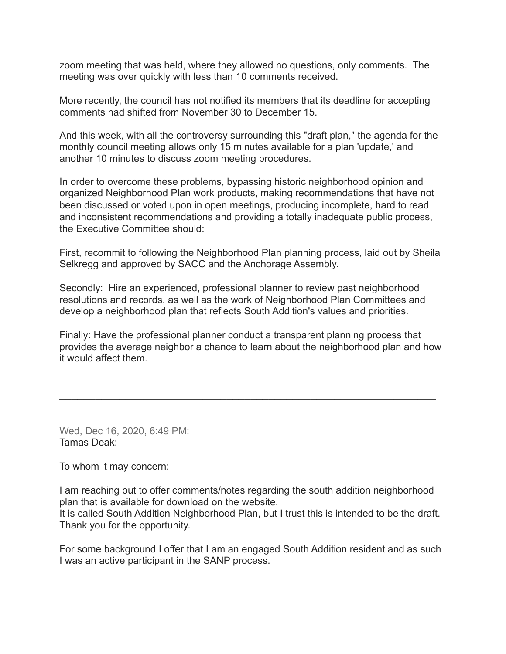zoom meeting that was held, where they allowed no questions, only comments. The meeting was over quickly with less than 10 comments received.

More recently, the council has not notified its members that its deadline for accepting comments had shifted from November 30 to December 15.

And this week, with all the controversy surrounding this "draft plan," the agenda for the monthly council meeting allows only 15 minutes available for a plan 'update,' and another 10 minutes to discuss zoom meeting procedures.

In order to overcome these problems, bypassing historic neighborhood opinion and organized Neighborhood Plan work products, making recommendations that have not been discussed or voted upon in open meetings, producing incomplete, hard to read and inconsistent recommendations and providing a totally inadequate public process, the Executive Committee should:

First, recommit to following the Neighborhood Plan planning process, laid out by Sheila Selkregg and approved by SACC and the Anchorage Assembly.

Secondly: Hire an experienced, professional planner to review past neighborhood resolutions and records, as well as the work of Neighborhood Plan Committees and develop a neighborhood plan that reflects South Addition's values and priorities.

Finally: Have the professional planner conduct a transparent planning process that provides the average neighbor a chance to learn about the neighborhood plan and how it would affect them.

**\_\_\_\_\_\_\_\_\_\_\_\_\_\_\_\_\_\_\_\_\_\_\_\_\_\_\_\_\_\_\_\_\_\_\_\_\_\_\_\_\_\_\_\_\_\_\_\_\_\_\_\_\_\_\_\_\_\_\_\_\_\_\_**

Wed, Dec 16, 2020, 6:49 PM: Tamas Deak:

To whom it may concern:

I am reaching out to offer comments/notes regarding the south addition neighborhood plan that is available for download on the website.

It is called South Addition Neighborhood Plan, but I trust this is intended to be the draft. Thank you for the opportunity.

For some background I offer that I am an engaged South Addition resident and as such I was an active participant in the SANP process.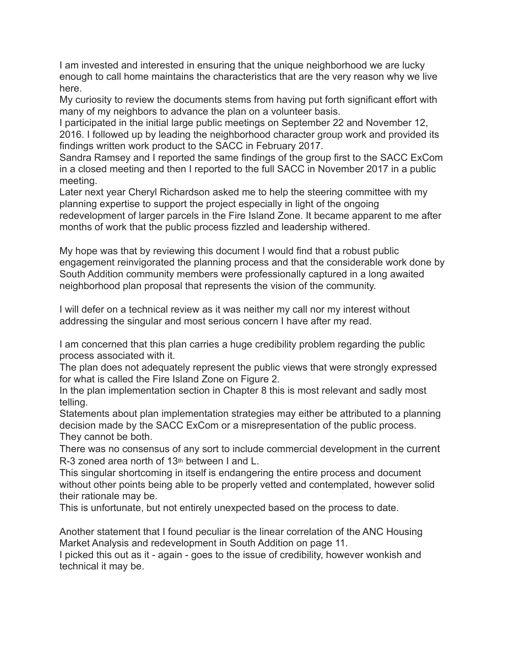I am invested and interested in ensuring that the unique neighborhood we are lucky enough to call home maintains the characteristics that are the very reason why we live here.

My curiosity to review the documents stems from having put forth significant effort with many of my neighbors to advance the plan on a volunteer basis.

I participated in the initial large public meetings on September 22 and November 12, 2016. I followed up by leading the neighborhood character group work and provided its findings written work product to the SACC in February 2017.

Sandra Ramsey and I reported the same findings of the group first to the SACC ExCom in a closed meeting and then I reported to the full SACC in November 2017 in a public meeting.

Later next year Cheryl Richardson asked me to help the steering committee with my planning expertise to support the project especially in light of the ongoing redevelopment of larger parcels in the Fire Island Zone. It became apparent to me after months of work that the public process fizzled and leadership withered.

My hope was that by reviewing this document I would find that a robust public engagement reinvigorated the planning process and that the considerable work done by South Addition community members were professionally captured in a long awaited neighborhood plan proposal that represents the vision of the community.

I will defer on a technical review as it was neither my call nor my interest without addressing the singular and most serious concern I have after my read.

I am concerned that this plan carries a huge credibility problem regarding the public process associated with it.

The plan does not adequately represent the public views that were strongly expressed for what is called the Fire Island Zone on Figure 2.

In the plan implementation section in Chapter 8 this is most relevant and sadly most telling.

Statements about plan implementation strategies may either be attributed to a planning decision made by the SACC ExCom or a misrepresentation of the public process. They cannot be both.

There was no consensus of any sort to include commercial development in the current R-3 zoned area north of 13<sup>th</sup> between I and L.

This singular shortcoming in itself is endangering the entire process and document without other points being able to be properly vetted and contemplated, however solid their rationale may be.

This is unfortunate, but not entirely unexpected based on the process to date.

Another statement that I found peculiar is the linear correlation of the ANC Housing Market Analysis and redevelopment in South Addition on page 11.

I picked this out as it - again - goes to the issue of credibility, however wonkish and technical it may be.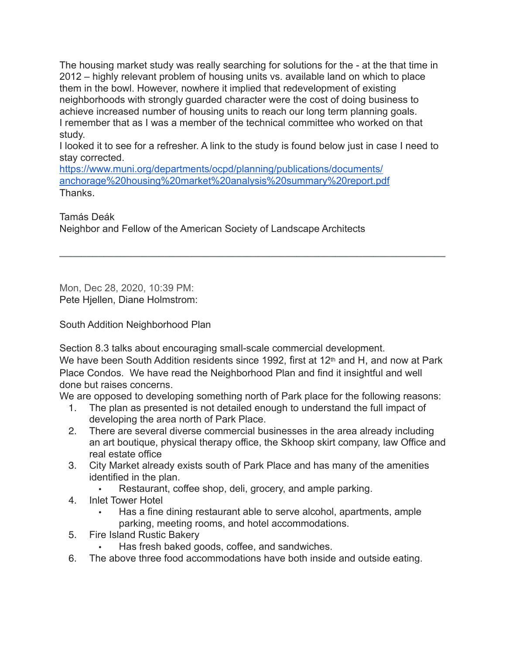The housing market study was really searching for solutions for the - at the that time in 2012 – highly relevant problem of housing units vs. available land on which to place them in the bowl. However, nowhere it implied that redevelopment of existing neighborhoods with strongly guarded character were the cost of doing business to achieve increased number of housing units to reach our long term planning goals. I remember that as I was a member of the technical committee who worked on that study.

I looked it to see for a refresher. A link to the study is found below just in case I need to stay corrected.

**\_\_\_\_\_\_\_\_\_\_\_\_\_\_\_\_\_\_\_\_\_\_\_\_\_\_\_\_\_\_\_\_\_\_\_\_\_\_\_\_\_\_\_\_\_\_\_\_\_\_\_\_\_\_\_\_\_\_\_\_\_\_\_\_\_\_\_\_\_\_**

[https://www.muni.org/departments/ocpd/planning/publications/documents/](https://www.muni.org/departments/ocpd/planning/publications/documents/anchorage%20housing%20market%20analysis%20summary%20report.pdf) [anchorage%20housing%20market%20analysis%20summary%20report.pdf](https://www.muni.org/departments/ocpd/planning/publications/documents/anchorage%20housing%20market%20analysis%20summary%20report.pdf) **Thanks** 

Tamás Deák

Neighbor and Fellow of the American Society of Landscape Architects

Mon, Dec 28, 2020, 10:39 PM: Pete Hjellen, Diane Holmstrom:

South Addition Neighborhood Plan

Section 8.3 talks about encouraging small-scale commercial development.

We have been South Addition residents since 1992, first at 12<sup>th</sup> and H, and now at Park Place Condos. We have read the Neighborhood Plan and find it insightful and well done but raises concerns.

We are opposed to developing something north of Park place for the following reasons:

- 1. The plan as presented is not detailed enough to understand the full impact of developing the area north of Park Place.
- 2. There are several diverse commercial businesses in the area already including an art boutique, physical therapy office, the Skhoop skirt company, law Office and real estate office
- 3. City Market already exists south of Park Place and has many of the amenities identified in the plan.
	- Restaurant, coffee shop, deli, grocery, and ample parking.
- 4. Inlet Tower Hotel
	- Has a fine dining restaurant able to serve alcohol, apartments, ample parking, meeting rooms, and hotel accommodations.
- 5. Fire Island Rustic Bakery
	- Has fresh baked goods, coffee, and sandwiches.
- 6. The above three food accommodations have both inside and outside eating.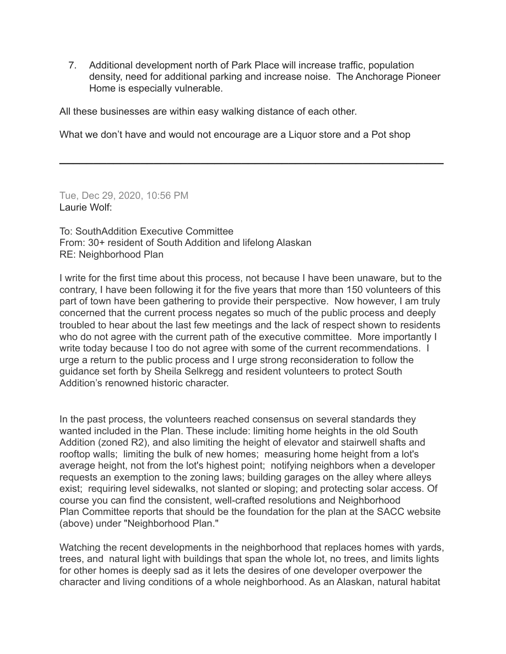7. Additional development north of Park Place will increase traffic, population density, need for additional parking and increase noise. The Anchorage Pioneer Home is especially vulnerable.

All these businesses are within easy walking distance of each other.

What we don't have and would not encourage are a Liquor store and a Pot shop

**\_\_\_\_\_\_\_\_\_\_\_\_\_\_\_\_\_\_\_\_\_\_\_\_\_\_\_\_\_\_\_\_\_\_\_\_\_\_\_\_\_\_\_\_\_\_\_\_\_\_\_\_\_\_\_\_\_**

Tue, Dec 29, 2020, 10:56 PM Laurie Wolf:

To: SouthAddition Executive Committee From: 30+ resident of South Addition and lifelong Alaskan RE: Neighborhood Plan

I write for the first time about this process, not because I have been unaware, but to the contrary, I have been following it for the five years that more than 150 volunteers of this part of town have been gathering to provide their perspective. Now however, I am truly concerned that the current process negates so much of the public process and deeply troubled to hear about the last few meetings and the lack of respect shown to residents who do not agree with the current path of the executive committee. More importantly I write today because I too do not agree with some of the current recommendations. I urge a return to the public process and I urge strong reconsideration to follow the guidance set forth by Sheila Selkregg and resident volunteers to protect South Addition's renowned historic character.

In the past process, the volunteers reached consensus on several standards they wanted included in the Plan. These include: limiting home heights in the old South Addition (zoned R2), and also limiting the height of elevator and stairwell shafts and rooftop walls; limiting the bulk of new homes; measuring home height from a lot's average height, not from the lot's highest point; notifying neighbors when a developer requests an exemption to the zoning laws; building garages on the alley where alleys exist; requiring level sidewalks, not slanted or sloping; and protecting solar access. Of course you can find the consistent, well-crafted resolutions and Neighborhood Plan Committee reports that should be the foundation for the plan at the SACC website (above) under "Neighborhood Plan."

Watching the recent developments in the neighborhood that replaces homes with yards, trees, and natural light with buildings that span the whole lot, no trees, and limits lights for other homes is deeply sad as it lets the desires of one developer overpower the character and living conditions of a whole neighborhood. As an Alaskan, natural habitat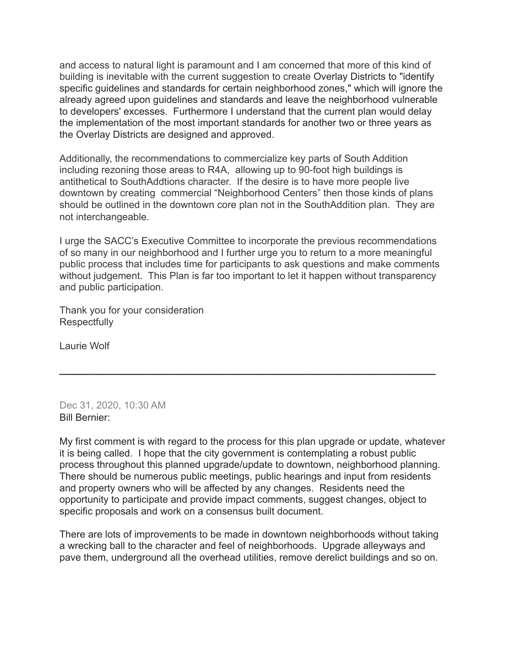and access to natural light is paramount and I am concerned that more of this kind of building is inevitable with the current suggestion to create Overlay Districts to "identify specific guidelines and standards for certain neighborhood zones," which will ignore the already agreed upon guidelines and standards and leave the neighborhood vulnerable to developers' excesses. Furthermore I understand that the current plan would delay the implementation of the most important standards for another two or three years as the Overlay Districts are designed and approved.

Additionally, the recommendations to commercialize key parts of South Addition including rezoning those areas to R4A, allowing up to 90-foot high buildings is antithetical to SouthAddtions character. If the desire is to have more people live downtown by creating commercial "Neighborhood Centers" then those kinds of plans should be outlined in the downtown core plan not in the SouthAddition plan. They are not interchangeable.

I urge the SACC's Executive Committee to incorporate the previous recommendations of so many in our neighborhood and I further urge you to return to a more meaningful public process that includes time for participants to ask questions and make comments without judgement. This Plan is far too important to let it happen without transparency and public participation.

**\_\_\_\_\_\_\_\_\_\_\_\_\_\_\_\_\_\_\_\_\_\_\_\_\_\_\_\_\_\_\_\_\_\_\_\_\_\_\_\_\_\_\_\_\_\_\_\_\_\_\_\_\_\_\_\_\_\_\_\_\_\_\_**

Thank you for your consideration **Respectfully** 

Laurie Wolf

Dec 31, 2020, 10:30 AM Bill Bernier:

My first comment is with regard to the process for this plan upgrade or update, whatever it is being called. I hope that the city government is contemplating a robust public process throughout this planned upgrade/update to downtown, neighborhood planning. There should be numerous public meetings, public hearings and input from residents and property owners who will be affected by any changes. Residents need the opportunity to participate and provide impact comments, suggest changes, object to specific proposals and work on a consensus built document.

There are lots of improvements to be made in downtown neighborhoods without taking a wrecking ball to the character and feel of neighborhoods. Upgrade alleyways and pave them, underground all the overhead utilities, remove derelict buildings and so on.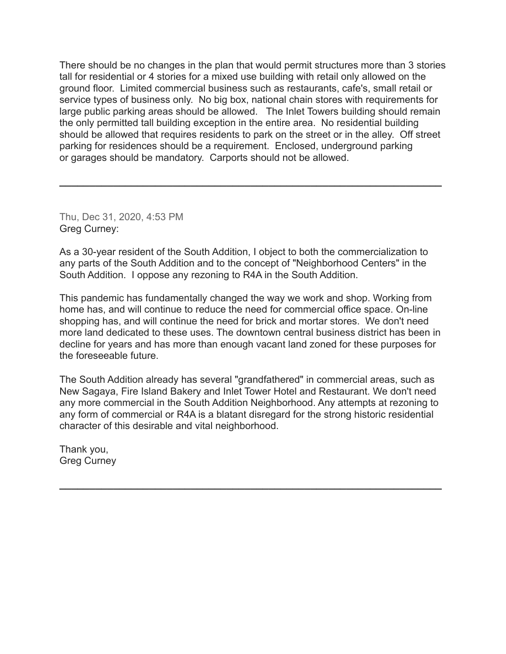There should be no changes in the plan that would permit structures more than 3 stories tall for residential or 4 stories for a mixed use building with retail only allowed on the ground floor. Limited commercial business such as restaurants, cafe's, small retail or service types of business only. No big box, national chain stores with requirements for large public parking areas should be allowed. The Inlet Towers building should remain the only permitted tall building exception in the entire area. No residential building should be allowed that requires residents to park on the street or in the alley. Off street parking for residences should be a requirement. Enclosed, underground parking or garages should be mandatory. Carports should not be allowed.

**\_\_\_\_\_\_\_\_\_\_\_\_\_\_\_\_\_\_\_\_\_\_\_\_\_\_\_\_\_\_\_\_\_\_\_\_\_\_\_\_\_\_\_\_\_\_\_\_\_\_\_\_\_\_\_\_\_\_\_\_\_\_\_\_**

Thu, Dec 31, 2020, 4:53 PM Greg Curney:

As a 30-year resident of the South Addition, I object to both the commercialization to any parts of the South Addition and to the concept of "Neighborhood Centers" in the South Addition. I oppose any rezoning to R4A in the South Addition.

This pandemic has fundamentally changed the way we work and shop. Working from home has, and will continue to reduce the need for commercial office space. On-line shopping has, and will continue the need for brick and mortar stores. We don't need more land dedicated to these uses. The downtown central business district has been in decline for years and has more than enough vacant land zoned for these purposes for the foreseeable future.

The South Addition already has several "grandfathered" in commercial areas, such as New Sagaya, Fire Island Bakery and Inlet Tower Hotel and Restaurant. We don't need any more commercial in the South Addition Neighborhood. Any attempts at rezoning to any form of commercial or R4A is a blatant disregard for the strong historic residential character of this desirable and vital neighborhood.

**\_\_\_\_\_\_\_\_\_\_\_\_\_\_\_\_\_\_\_\_\_\_\_\_\_\_\_\_\_\_\_\_\_\_\_\_\_\_\_\_\_\_\_\_\_\_\_\_\_\_\_\_\_\_\_\_\_\_\_\_\_\_\_\_**

Thank you, Greg Curney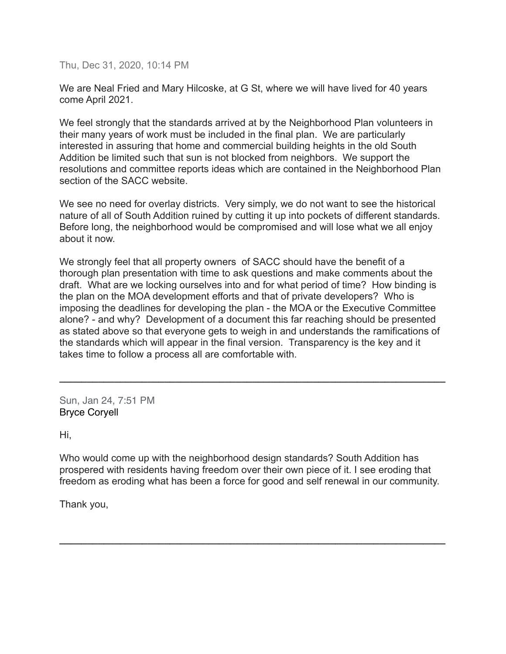Thu, Dec 31, 2020, 10:14 PM

We are Neal Fried and Mary Hilcoske, at G St, where we will have lived for 40 years come April 2021.

We feel strongly that the standards arrived at by the Neighborhood Plan volunteers in their many years of work must be included in the final plan. We are particularly interested in assuring that home and commercial building heights in the old South Addition be limited such that sun is not blocked from neighbors. We support the resolutions and committee reports ideas which are contained in the Neighborhood Plan section of the SACC website.

We see no need for overlay districts. Very simply, we do not want to see the historical nature of all of South Addition ruined by cutting it up into pockets of different standards. Before long, the neighborhood would be compromised and will lose what we all enjoy about it now.

We strongly feel that all property owners of SACC should have the benefit of a thorough plan presentation with time to ask questions and make comments about the draft. What are we locking ourselves into and for what period of time? How binding is the plan on the MOA development efforts and that of private developers? Who is imposing the deadlines for developing the plan - the MOA or the Executive Committee alone? - and why? Development of a document this far reaching should be presented as stated above so that everyone gets to weigh in and understands the ramifications of the standards which will appear in the final version. Transparency is the key and it takes time to follow a process all are comfortable with.

**\_\_\_\_\_\_\_\_\_\_\_\_\_\_\_\_\_\_\_\_\_\_\_\_\_\_\_\_\_\_\_\_\_\_\_\_\_\_\_\_\_\_\_\_\_\_\_\_\_\_\_\_\_\_\_\_\_\_\_\_\_\_\_\_\_\_\_\_\_\_**

Sun, Jan 24, 7:51 PM Bryce Coryell

Hi,

Who would come up with the neighborhood design standards? South Addition has prospered with residents having freedom over their own piece of it. I see eroding that freedom as eroding what has been a force for good and self renewal in our community.

**\_\_\_\_\_\_\_\_\_\_\_\_\_\_\_\_\_\_\_\_\_\_\_\_\_\_\_\_\_\_\_\_\_\_\_\_\_\_\_\_\_\_\_\_\_\_\_\_\_\_\_\_\_\_\_\_\_\_\_\_\_\_\_\_\_\_\_\_\_\_**

Thank you,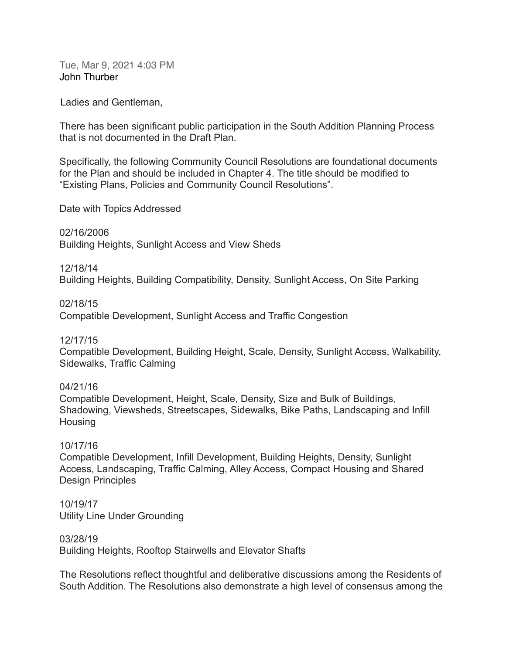Tue, Mar 9, 2021 4:03 PM John Thurber

Ladies and Gentleman,

There has been significant public participation in the South Addition Planning Process that is not documented in the Draft Plan.

Specifically, the following Community Council Resolutions are foundational documents for the Plan and should be included in Chapter 4. The title should be modified to "Existing Plans, Policies and Community Council Resolutions".

Date with Topics Addressed

02/16/2006 Building Heights, Sunlight Access and View Sheds

12/18/14

Building Heights, Building Compatibility, Density, Sunlight Access, On Site Parking

02/18/15

Compatible Development, Sunlight Access and Traffic Congestion

12/17/15

Compatible Development, Building Height, Scale, Density, Sunlight Access, Walkability, Sidewalks, Traffic Calming

04/21/16

Compatible Development, Height, Scale, Density, Size and Bulk of Buildings, Shadowing, Viewsheds, Streetscapes, Sidewalks, Bike Paths, Landscaping and Infill **Housing** 

## 10/17/16

Compatible Development, Infill Development, Building Heights, Density, Sunlight Access, Landscaping, Traffic Calming, Alley Access, Compact Housing and Shared Design Principles

10/19/17 Utility Line Under Grounding

03/28/19 Building Heights, Rooftop Stairwells and Elevator Shafts

The Resolutions reflect thoughtful and deliberative discussions among the Residents of South Addition. The Resolutions also demonstrate a high level of consensus among the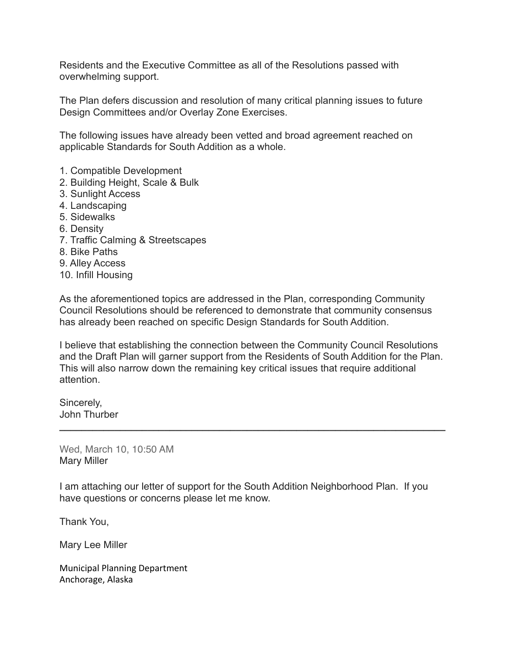Residents and the Executive Committee as all of the Resolutions passed with overwhelming support.

The Plan defers discussion and resolution of many critical planning issues to future Design Committees and/or Overlay Zone Exercises.

The following issues have already been vetted and broad agreement reached on applicable Standards for South Addition as a whole.

- 1. Compatible Development
- 2. Building Height, Scale & Bulk
- 3. Sunlight Access
- 4. Landscaping
- 5. Sidewalks
- 6. Density
- 7. Traffic Calming & Streetscapes
- 8. Bike Paths
- 9. Alley Access
- 10. Infill Housing

As the aforementioned topics are addressed in the Plan, corresponding Community Council Resolutions should be referenced to demonstrate that community consensus has already been reached on specific Design Standards for South Addition.

I believe that establishing the connection between the Community Council Resolutions and the Draft Plan will garner support from the Residents of South Addition for the Plan. This will also narrow down the remaining key critical issues that require additional attention.

**\_\_\_\_\_\_\_\_\_\_\_\_\_\_\_\_\_\_\_\_\_\_\_\_\_\_\_\_\_\_\_\_\_\_\_\_\_\_\_\_\_\_\_\_\_\_\_\_\_\_\_\_\_\_\_\_\_\_\_\_\_\_\_\_\_\_\_\_\_\_**

Sincerely, John Thurber

Wed, March 10, 10:50 AM Mary Miller

I am attaching our letter of support for the South Addition Neighborhood Plan. If you have questions or concerns please let me know.

Thank You,

Mary Lee Miller

Municipal Planning Department Anchorage, Alaska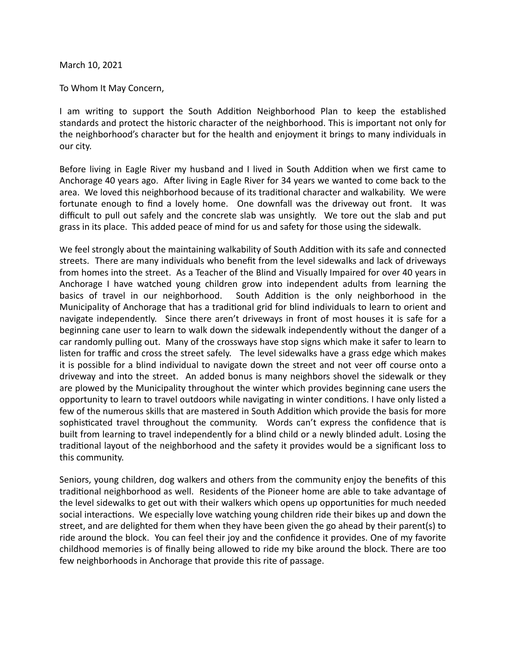March 10, 2021

To Whom It May Concern,

I am writing to support the South Addition Neighborhood Plan to keep the established standards and protect the historic character of the neighborhood. This is important not only for the neighborhood's character but for the health and enjoyment it brings to many individuals in our city.

Before living in Eagle River my husband and I lived in South Addition when we first came to Anchorage 40 years ago. After living in Eagle River for 34 years we wanted to come back to the area. We loved this neighborhood because of its traditional character and walkability. We were fortunate enough to find a lovely home. One downfall was the driveway out front. It was difficult to pull out safely and the concrete slab was unsightly. We tore out the slab and put grass in its place. This added peace of mind for us and safety for those using the sidewalk.

We feel strongly about the maintaining walkability of South Addition with its safe and connected streets. There are many individuals who benefit from the level sidewalks and lack of driveways from homes into the street. As a Teacher of the Blind and Visually Impaired for over 40 years in Anchorage I have watched young children grow into independent adults from learning the basics of travel in our neighborhood. South Addition is the only neighborhood in the Municipality of Anchorage that has a traditional grid for blind individuals to learn to orient and navigate independently. Since there aren't driveways in front of most houses it is safe for a beginning cane user to learn to walk down the sidewalk independently without the danger of a car randomly pulling out. Many of the crossways have stop signs which make it safer to learn to listen for traffic and cross the street safely. The level sidewalks have a grass edge which makes it is possible for a blind individual to navigate down the street and not veer off course onto a driveway and into the street. An added bonus is many neighbors shovel the sidewalk or they are plowed by the Municipality throughout the winter which provides beginning cane users the opportunity to learn to travel outdoors while navigating in winter conditions. I have only listed a few of the numerous skills that are mastered in South Addition which provide the basis for more sophisticated travel throughout the community. Words can't express the confidence that is built from learning to travel independently for a blind child or a newly blinded adult. Losing the traditional layout of the neighborhood and the safety it provides would be a significant loss to this community.

Seniors, young children, dog walkers and others from the community enjoy the benefits of this traditional neighborhood as well. Residents of the Pioneer home are able to take advantage of the level sidewalks to get out with their walkers which opens up opportunities for much needed social interactions. We especially love watching young children ride their bikes up and down the street, and are delighted for them when they have been given the go ahead by their parent(s) to ride around the block. You can feel their joy and the confidence it provides. One of my favorite childhood memories is of finally being allowed to ride my bike around the block. There are too few neighborhoods in Anchorage that provide this rite of passage.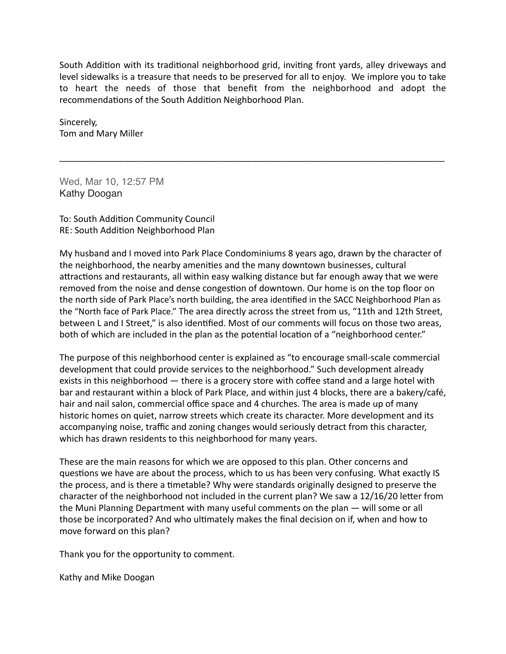South Addition with its traditional neighborhood grid, inviting front vards, alley driveways and level sidewalks is a treasure that needs to be preserved for all to enjoy. We implore you to take to heart the needs of those that benefit from the neighborhood and adopt the recommendations of the South Addition Neighborhood Plan.

\_\_\_\_\_\_\_\_\_\_\_\_\_\_\_\_\_\_\_\_\_\_\_\_\_\_\_\_\_\_\_\_\_\_\_\_\_\_\_\_\_\_\_\_\_\_\_\_\_\_\_\_\_\_\_\_\_\_\_\_\_\_\_\_\_\_\_\_\_\_\_\_\_\_\_\_\_\_

Sincerely, Tom and Mary Miller

Wed, Mar 10, 12:57 PM Kathy Doogan

To: South Addition Community Council RE: South Addition Neighborhood Plan

My husband and I moved into Park Place Condominiums 8 years ago, drawn by the character of the neighborhood, the nearby amenities and the many downtown businesses, cultural attractions and restaurants, all within easy walking distance but far enough away that we were removed from the noise and dense congestion of downtown. Our home is on the top floor on the north side of Park Place's north building, the area identified in the SACC Neighborhood Plan as the "North face of Park Place." The area directly across the street from us, "11th and 12th Street, between L and I Street," is also identified. Most of our comments will focus on those two areas, both of which are included in the plan as the potential location of a "neighborhood center."

The purpose of this neighborhood center is explained as "to encourage small-scale commercial development that could provide services to the neighborhood." Such development already exists in this neighborhood — there is a grocery store with coffee stand and a large hotel with bar and restaurant within a block of Park Place, and within just 4 blocks, there are a bakery/café, hair and nail salon, commercial office space and 4 churches. The area is made up of many historic homes on quiet, narrow streets which create its character. More development and its accompanying noise, traffic and zoning changes would seriously detract from this character, which has drawn residents to this neighborhood for many years.

These are the main reasons for which we are opposed to this plan. Other concerns and questions we have are about the process, which to us has been very confusing. What exactly IS the process, and is there a timetable? Why were standards originally designed to preserve the character of the neighborhood not included in the current plan? We saw a 12/16/20 letter from the Muni Planning Department with many useful comments on the plan  $-$  will some or all those be incorporated? And who ultimately makes the final decision on if, when and how to move forward on this plan?

Thank you for the opportunity to comment.

Kathy and Mike Doogan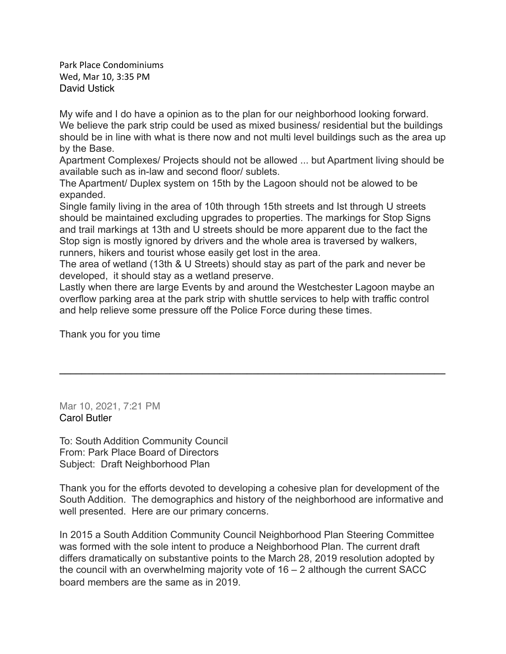Park Place Condominiums Wed, Mar 10, 3:35 PM David Ustick

My wife and I do have a opinion as to the plan for our neighborhood looking forward. We believe the park strip could be used as mixed business/ residential but the buildings should be in line with what is there now and not multi level buildings such as the area up by the Base.

Apartment Complexes/ Projects should not be allowed ... but Apartment living should be available such as in-law and second floor/ sublets.

The Apartment/ Duplex system on 15th by the Lagoon should not be alowed to be expanded.

Single family living in the area of 10th through 15th streets and Ist through U streets should be maintained excluding upgrades to properties. The markings for Stop Signs and trail markings at 13th and U streets should be more apparent due to the fact the Stop sign is mostly ignored by drivers and the whole area is traversed by walkers, runners, hikers and tourist whose easily get lost in the area.

The area of wetland (13th & U Streets) should stay as part of the park and never be developed, it should stay as a wetland preserve.

Lastly when there are large Events by and around the Westchester Lagoon maybe an overflow parking area at the park strip with shuttle services to help with traffic control and help relieve some pressure off the Police Force during these times.

**\_\_\_\_\_\_\_\_\_\_\_\_\_\_\_\_\_\_\_\_\_\_\_\_\_\_\_\_\_\_\_\_\_\_\_\_\_\_\_\_\_\_\_\_\_\_\_\_\_\_\_\_\_\_\_\_\_\_\_\_\_\_\_\_\_\_\_\_\_\_**

Thank you for you time

Mar 10, 2021, 7:21 PM Carol Butler

To: South Addition Community Council From: Park Place Board of Directors Subject: Draft Neighborhood Plan

Thank you for the efforts devoted to developing a cohesive plan for development of the South Addition. The demographics and history of the neighborhood are informative and well presented. Here are our primary concerns.

In 2015 a South Addition Community Council Neighborhood Plan Steering Committee was formed with the sole intent to produce a Neighborhood Plan. The current draft differs dramatically on substantive points to the March 28, 2019 resolution adopted by the council with an overwhelming majority vote of 16 – 2 although the current SACC board members are the same as in 2019.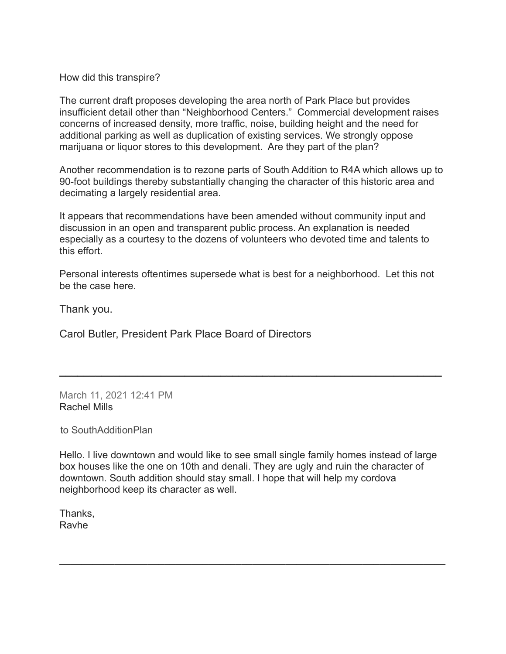How did this transpire?

The current draft proposes developing the area north of Park Place but provides insufficient detail other than "Neighborhood Centers." Commercial development raises concerns of increased density, more traffic, noise, building height and the need for additional parking as well as duplication of existing services. We strongly oppose marijuana or liquor stores to this development. Are they part of the plan?

Another recommendation is to rezone parts of South Addition to R4A which allows up to 90-foot buildings thereby substantially changing the character of this historic area and decimating a largely residential area.

It appears that recommendations have been amended without community input and discussion in an open and transparent public process. An explanation is needed especially as a courtesy to the dozens of volunteers who devoted time and talents to this effort.

Personal interests oftentimes supersede what is best for a neighborhood. Let this not be the case here.

**\_\_\_\_\_\_\_\_\_\_\_\_\_\_\_\_\_\_\_\_\_\_\_\_\_\_\_\_\_\_\_\_\_\_\_\_\_\_\_\_\_\_\_\_\_\_\_\_\_\_\_\_\_\_\_\_\_\_\_\_\_\_\_\_**

Thank you.

Carol Butler, President Park Place Board of Directors

March 11, 2021 12:41 PM Rachel Mills

to SouthAdditionPlan

Hello. I live downtown and would like to see small single family homes instead of large box houses like the one on 10th and denali. They are ugly and ruin the character of downtown. South addition should stay small. I hope that will help my cordova neighborhood keep its character as well.

**\_\_\_\_\_\_\_\_\_\_\_\_\_\_\_\_\_\_\_\_\_\_\_\_\_\_\_\_\_\_\_\_\_\_\_\_\_\_\_\_\_\_\_\_\_\_\_\_\_\_\_\_\_\_\_\_\_\_\_\_\_\_\_\_\_\_\_\_\_\_**

Thanks, Ravhe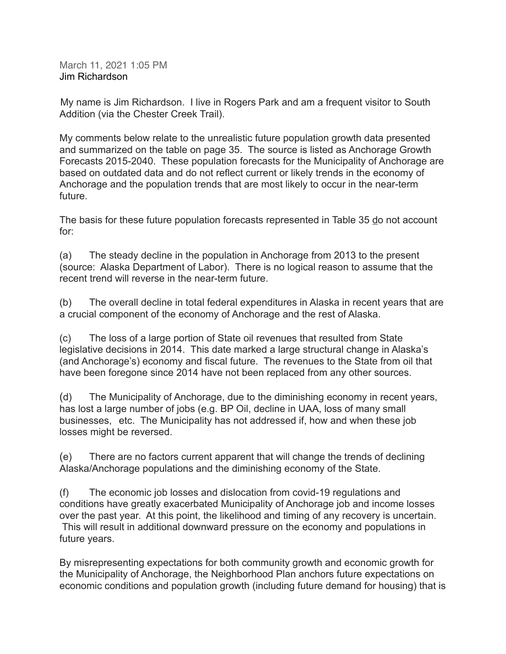March 11, 2021 1:05 PM Jim Richardson

My name is Jim Richardson. I live in Rogers Park and am a frequent visitor to South Addition (via the Chester Creek Trail).

My comments below relate to the unrealistic future population growth data presented and summarized on the table on page 35. The source is listed as Anchorage Growth Forecasts 2015-2040. These population forecasts for the Municipality of Anchorage are based on outdated data and do not reflect current or likely trends in the economy of Anchorage and the population trends that are most likely to occur in the near-term future.

The basis for these future population forecasts represented in Table 35 do not account for:

(a) The steady decline in the population in Anchorage from 2013 to the present (source: Alaska Department of Labor). There is no logical reason to assume that the recent trend will reverse in the near-term future.

(b) The overall decline in total federal expenditures in Alaska in recent years that are a crucial component of the economy of Anchorage and the rest of Alaska.

(c) The loss of a large portion of State oil revenues that resulted from State legislative decisions in 2014. This date marked a large structural change in Alaska's (and Anchorage's) economy and fiscal future. The revenues to the State from oil that have been foregone since 2014 have not been replaced from any other sources.

(d) The Municipality of Anchorage, due to the diminishing economy in recent years, has lost a large number of jobs (e.g. BP Oil, decline in UAA, loss of many small businesses, etc. The Municipality has not addressed if, how and when these job losses might be reversed.

(e) There are no factors current apparent that will change the trends of declining Alaska/Anchorage populations and the diminishing economy of the State.

(f) The economic job losses and dislocation from covid-19 regulations and conditions have greatly exacerbated Municipality of Anchorage job and income losses over the past year. At this point, the likelihood and timing of any recovery is uncertain. This will result in additional downward pressure on the economy and populations in future years.

By misrepresenting expectations for both community growth and economic growth for the Municipality of Anchorage, the Neighborhood Plan anchors future expectations on economic conditions and population growth (including future demand for housing) that is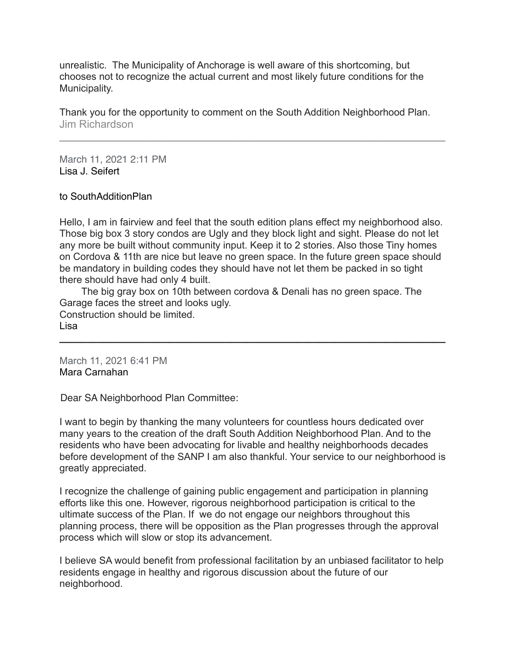unrealistic. The Municipality of Anchorage is well aware of this shortcoming, but chooses not to recognize the actual current and most likely future conditions for the Municipality.

Thank you for the opportunity to comment on the South Addition Neighborhood Plan. Jim Richardson

**\_\_\_\_\_\_\_\_\_\_\_\_\_\_\_\_\_\_\_\_\_\_\_\_\_\_\_\_\_\_\_\_\_\_\_\_\_\_\_\_\_\_\_\_\_\_\_\_\_\_\_\_\_\_\_\_\_\_\_\_\_\_\_\_\_\_\_\_\_\_**

March 11, 2021 2:11 PM Lisa J. Seifert

to SouthAdditionPlan

Hello, I am in fairview and feel that the south edition plans effect my neighborhood also. Those big box 3 story condos are Ugly and they block light and sight. Please do not let any more be built without community input. Keep it to 2 stories. Also those Tiny homes on Cordova & 11th are nice but leave no green space. In the future green space should be mandatory in building codes they should have not let them be packed in so tight there should have had only 4 built.

 The big gray box on 10th between cordova & Denali has no green space. The Garage faces the street and looks ugly. Construction should be limited. Lisa

**\_\_\_\_\_\_\_\_\_\_\_\_\_\_\_\_\_\_\_\_\_\_\_\_\_\_\_\_\_\_\_\_\_\_\_\_\_\_\_\_\_\_\_\_\_\_\_\_\_\_\_\_\_\_\_\_\_\_\_\_\_\_\_\_\_\_\_\_\_\_**

March 11, 2021 6:41 PM Mara Carnahan

Dear SA Neighborhood Plan Committee:

I want to begin by thanking the many volunteers for countless hours dedicated over many years to the creation of the draft South Addition Neighborhood Plan. And to the residents who have been advocating for livable and healthy neighborhoods decades before development of the SANP I am also thankful. Your service to our neighborhood is greatly appreciated.

I recognize the challenge of gaining public engagement and participation in planning efforts like this one. However, rigorous neighborhood participation is critical to the ultimate success of the Plan. If we do not engage our neighbors throughout this planning process, there will be opposition as the Plan progresses through the approval process which will slow or stop its advancement.

I believe SA would benefit from professional facilitation by an unbiased facilitator to help residents engage in healthy and rigorous discussion about the future of our neighborhood.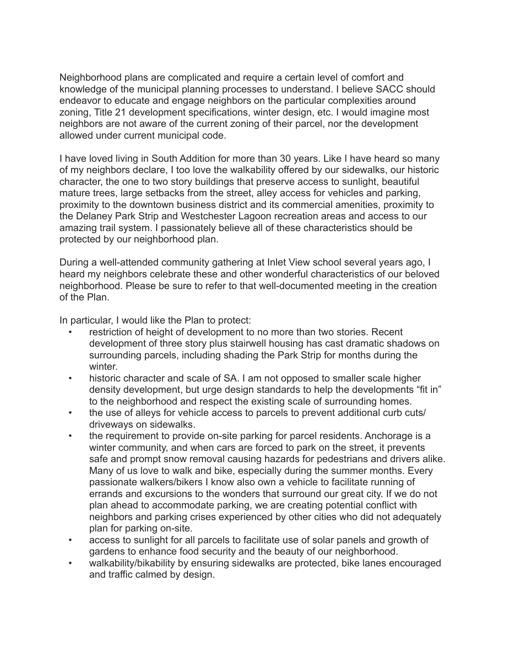Neighborhood plans are complicated and require a certain level of comfort and knowledge of the municipal planning processes to understand. I believe SACC should endeavor to educate and engage neighbors on the particular complexities around zoning, Title 21 development specifications, winter design, etc. I would imagine most neighbors are not aware of the current zoning of their parcel, nor the development allowed under current municipal code.

I have loved living in South Addition for more than 30 years. Like I have heard so many of my neighbors declare, I too love the walkability offered by our sidewalks, our historic character, the one to two story buildings that preserve access to sunlight, beautiful mature trees, large setbacks from the street, alley access for vehicles and parking, proximity to the downtown business district and its commercial amenities, proximity to the Delaney Park Strip and Westchester Lagoon recreation areas and access to our amazing trail system. I passionately believe all of these characteristics should be protected by our neighborhood plan.

During a well-attended community gathering at Inlet View school several years ago, I heard my neighbors celebrate these and other wonderful characteristics of our beloved neighborhood. Please be sure to refer to that well-documented meeting in the creation of the Plan.

In particular, I would like the Plan to protect:

- restriction of height of development to no more than two stories. Recent development of three story plus stairwell housing has cast dramatic shadows on surrounding parcels, including shading the Park Strip for months during the winter.
- historic character and scale of SA. I am not opposed to smaller scale higher density development, but urge design standards to help the developments "fit in" to the neighborhood and respect the existing scale of surrounding homes.
- the use of alleys for vehicle access to parcels to prevent additional curb cuts/ driveways on sidewalks.
- the requirement to provide on-site parking for parcel residents. Anchorage is a winter community, and when cars are forced to park on the street, it prevents safe and prompt snow removal causing hazards for pedestrians and drivers alike. Many of us love to walk and bike, especially during the summer months. Every passionate walkers/bikers I know also own a vehicle to facilitate running of errands and excursions to the wonders that surround our great city. If we do not plan ahead to accommodate parking, we are creating potential conflict with neighbors and parking crises experienced by other cities who did not adequately plan for parking on-site.
- access to sunlight for all parcels to facilitate use of solar panels and growth of gardens to enhance food security and the beauty of our neighborhood.
- walkability/bikability by ensuring sidewalks are protected, bike lanes encouraged and traffic calmed by design.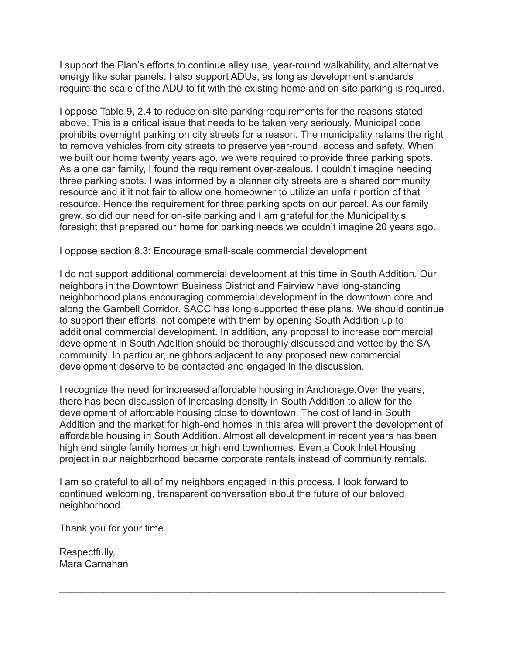I support the Plan's efforts to continue alley use, year-round walkability, and alternative energy like solar panels. I also support ADUs, as long as development standards require the scale of the ADU to fit with the existing home and on-site parking is required.

I oppose Table 9, 2.4 to reduce on-site parking requirements for the reasons stated above. This is a critical issue that needs to be taken very seriously. Municipal code prohibits overnight parking on city streets for a reason. The municipality retains the right to remove vehicles from city streets to preserve year-round access and safety. When we built our home twenty years ago, we were required to provide three parking spots. As a one car family, I found the requirement over-zealous. I couldn't imagine needing three parking spots. I was informed by a planner city streets are a shared community resource and it it not fair to allow one homeowner to utilize an unfair portion of that resource. Hence the requirement for three parking spots on our parcel. As our family grew, so did our need for on-site parking and I am grateful for the Municipality's foresight that prepared our home for parking needs we couldn't imagine 20 years ago.

I oppose section 8.3: Encourage small-scale commercial development

I do not support additional commercial development at this time in South Addition. Our neighbors in the Downtown Business District and Fairview have long-standing neighborhood plans encouraging commercial development in the downtown core and along the Gambell Corridor. SACC has long supported these plans. We should continue to support their efforts, not compete with them by opening South Addition up to additional commercial development. In addition, any proposal to increase commercial development in South Addition should be thoroughly discussed and vetted by the SA community. In particular, neighbors adjacent to any proposed new commercial development deserve to be contacted and engaged in the discussion.

I recognize the need for increased affordable housing in Anchorage.Over the years, there has been discussion of increasing density in South Addition to allow for the development of affordable housing close to downtown. The cost of land in South Addition and the market for high-end homes in this area will prevent the development of affordable housing in South Addition. Almost all development in recent years has been high end single family homes or high end townhomes. Even a Cook Inlet Housing project in our neighborhood became corporate rentals instead of community rentals.

 $\mathcal{L}_\text{max} = \mathcal{L}_\text{max} = \mathcal{L}_\text{max} = \mathcal{L}_\text{max} = \mathcal{L}_\text{max} = \mathcal{L}_\text{max} = \mathcal{L}_\text{max} = \mathcal{L}_\text{max} = \mathcal{L}_\text{max} = \mathcal{L}_\text{max} = \mathcal{L}_\text{max} = \mathcal{L}_\text{max} = \mathcal{L}_\text{max} = \mathcal{L}_\text{max} = \mathcal{L}_\text{max} = \mathcal{L}_\text{max} = \mathcal{L}_\text{max} = \mathcal{L}_\text{max} = \mathcal{$ 

I am so grateful to all of my neighbors engaged in this process. I look forward to continued welcoming, transparent conversation about the future of our beloved neighborhood.

Thank you for your time.

Respectfully, Mara Carnahan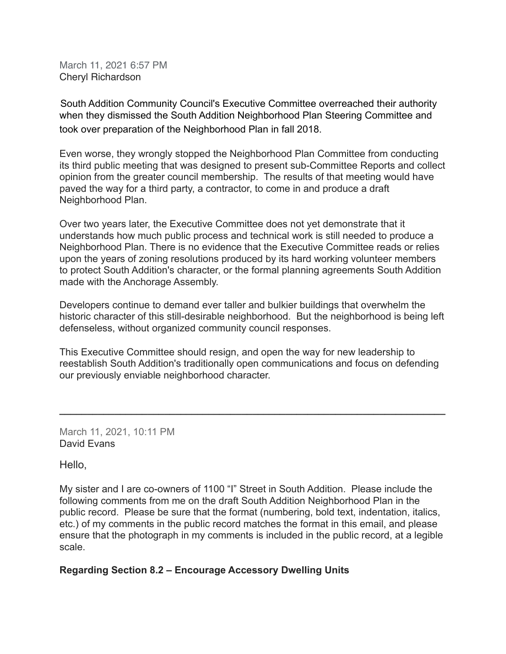March 11, 2021 6:57 PM Cheryl Richardson

South Addition Community Council's Executive Committee overreached their authority when they dismissed the South Addition Neighborhood Plan Steering Committee and took over preparation of the Neighborhood Plan in fall 2018.

Even worse, they wrongly stopped the Neighborhood Plan Committee from conducting its third public meeting that was designed to present sub-Committee Reports and collect opinion from the greater council membership. The results of that meeting would have paved the way for a third party, a contractor, to come in and produce a draft Neighborhood Plan.

Over two years later, the Executive Committee does not yet demonstrate that it understands how much public process and technical work is still needed to produce a Neighborhood Plan. There is no evidence that the Executive Committee reads or relies upon the years of zoning resolutions produced by its hard working volunteer members to protect South Addition's character, or the formal planning agreements South Addition made with the Anchorage Assembly.

Developers continue to demand ever taller and bulkier buildings that overwhelm the historic character of this still-desirable neighborhood. But the neighborhood is being left defenseless, without organized community council responses.

This Executive Committee should resign, and open the way for new leadership to reestablish South Addition's traditionally open communications and focus on defending our previously enviable neighborhood character.

**\_\_\_\_\_\_\_\_\_\_\_\_\_\_\_\_\_\_\_\_\_\_\_\_\_\_\_\_\_\_\_\_\_\_\_\_\_\_\_\_\_\_\_\_\_\_\_\_\_\_\_\_\_\_\_\_\_\_\_\_\_\_\_\_\_\_\_\_\_\_**

March 11, 2021, 10:11 PM David Evans

Hello,

My sister and I are co-owners of 1100 "I" Street in South Addition. Please include the following comments from me on the draft South Addition Neighborhood Plan in the public record. Please be sure that the format (numbering, bold text, indentation, italics, etc.) of my comments in the public record matches the format in this email, and please ensure that the photograph in my comments is included in the public record, at a legible scale.

## **Regarding Section 8.2 – Encourage Accessory Dwelling Units**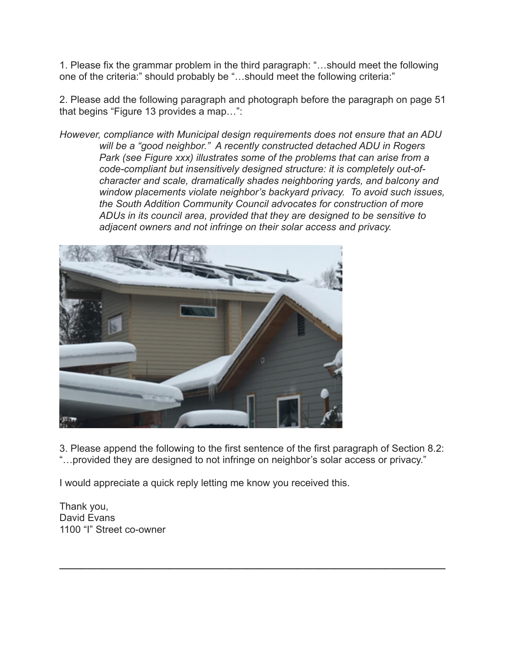1. Please fix the grammar problem in the third paragraph: "…should meet the following one of the criteria:" should probably be "…should meet the following criteria:"

2. Please add the following paragraph and photograph before the paragraph on page 51 that begins "Figure 13 provides a map…":

*However, compliance with Municipal design requirements does not ensure that an ADU will be a "good neighbor." A recently constructed detached ADU in Rogers Park (see Figure xxx) illustrates some of the problems that can arise from a code-compliant but insensitively designed structure: it is completely out-ofcharacter and scale, dramatically shades neighboring yards, and balcony and window placements violate neighbor's backyard privacy. To avoid such issues, the South Addition Community Council advocates for construction of more ADUs in its council area, provided that they are designed to be sensitive to adjacent owners and not infringe on their solar access and privacy.*



3. Please append the following to the first sentence of the first paragraph of Section 8.2: "…provided they are designed to not infringe on neighbor's solar access or privacy."

**\_\_\_\_\_\_\_\_\_\_\_\_\_\_\_\_\_\_\_\_\_\_\_\_\_\_\_\_\_\_\_\_\_\_\_\_\_\_\_\_\_\_\_\_\_\_\_\_\_\_\_\_\_\_\_\_\_\_\_\_\_\_\_\_\_\_\_\_\_\_**

I would appreciate a quick reply letting me know you received this.

Thank you, David Evans 1100 "I" Street co-owner